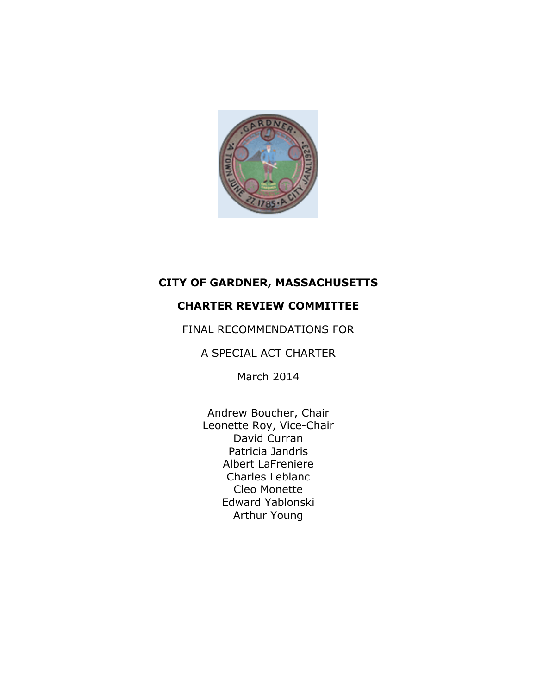

# **CITY OF GARDNER, MASSACHUSETTS**

## **CHARTER REVIEW COMMITTEE**

FINAL RECOMMENDATIONS FOR

A SPECIAL ACT CHARTER

March 2014

Andrew Boucher, Chair Leonette Roy, Vice-Chair David Curran Patricia Jandris Albert LaFreniere Charles Leblanc Cleo Monette Edward Yablonski Arthur Young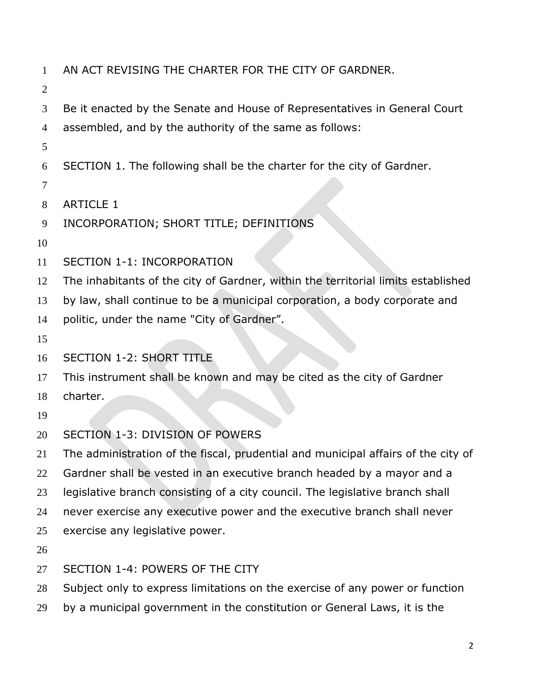- AN ACT REVISING THE CHARTER FOR THE CITY OF GARDNER. Be it enacted by the Senate and House of Representatives in General Court assembled, and by the authority of the same as follows: SECTION 1. The following shall be the charter for the city of Gardner. ARTICLE 1 INCORPORATION; SHORT TITLE; DEFINITIONS SECTION 1-1: INCORPORATION The inhabitants of the city of Gardner, within the territorial limits established by law, shall continue to be a municipal corporation, a body corporate and 14 politic, under the name "City of Gardner". SECTION 1-2: SHORT TITLE This instrument shall be known and may be cited as the city of Gardner charter. SECTION 1-3: DIVISION OF POWERS The administration of the fiscal, prudential and municipal affairs of the city of Gardner shall be vested in an executive branch headed by a mayor and a legislative branch consisting of a city council. The legislative branch shall
- never exercise any executive power and the executive branch shall never
- exercise any legislative power.
- 
- SECTION 1-4: POWERS OF THE CITY
- Subject only to express limitations on the exercise of any power or function
- by a municipal government in the constitution or General Laws, it is the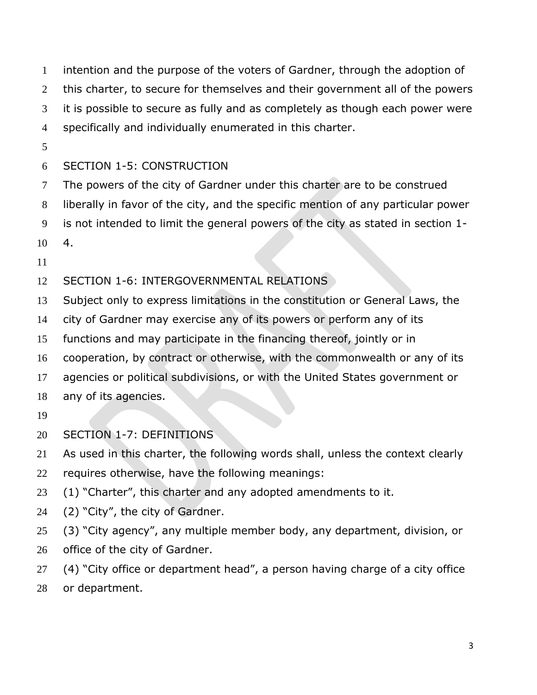intention and the purpose of the voters of Gardner, through the adoption of 2 this charter, to secure for themselves and their government all of the powers it is possible to secure as fully and as completely as though each power were specifically and individually enumerated in this charter.

## SECTION 1-5: CONSTRUCTION

- The powers of the city of Gardner under this charter are to be construed
- liberally in favor of the city, and the specific mention of any particular power
- is not intended to limit the general powers of the city as stated in section 1-
- 4.
- 
- SECTION 1-6: INTERGOVERNMENTAL RELATIONS
- Subject only to express limitations in the constitution or General Laws, the
- city of Gardner may exercise any of its powers or perform any of its
- functions and may participate in the financing thereof, jointly or in
- cooperation, by contract or otherwise, with the commonwealth or any of its
- agencies or political subdivisions, or with the United States government or
- any of its agencies.
- 
- SECTION 1-7: DEFINITIONS
- As used in this charter, the following words shall, unless the context clearly
- requires otherwise, have the following meanings:
- (1) "Charter", this charter and any adopted amendments to it.
- (2) "City", the city of Gardner.
- (3) "City agency", any multiple member body, any department, division, or office of the city of Gardner.
- (4) "City office or department head", a person having charge of a city office
- or department.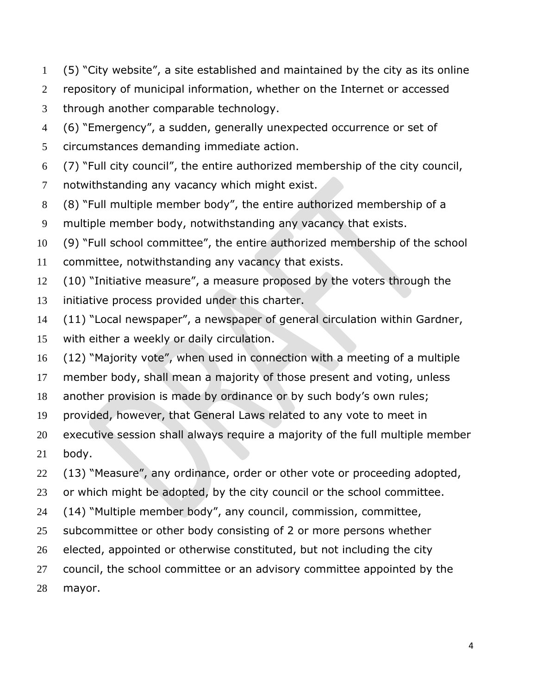- (5) "City website", a site established and maintained by the city as its online
- repository of municipal information, whether on the Internet or accessed
- through another comparable technology.
- (6) "Emergency", a sudden, generally unexpected occurrence or set of
- circumstances demanding immediate action.
- (7) "Full city council", the entire authorized membership of the city council,
- notwithstanding any vacancy which might exist.
- (8) "Full multiple member body", the entire authorized membership of a
- multiple member body, notwithstanding any vacancy that exists.
- (9) "Full school committee", the entire authorized membership of the school
- committee, notwithstanding any vacancy that exists.
- (10) "Initiative measure", a measure proposed by the voters through the
- initiative process provided under this charter.
- (11) "Local newspaper", a newspaper of general circulation within Gardner,
- with either a weekly or daily circulation.
- (12) "Majority vote", when used in connection with a meeting of a multiple
- member body, shall mean a majority of those present and voting, unless
- another provision is made by ordinance or by such body's own rules;
- provided, however, that General Laws related to any vote to meet in
- executive session shall always require a majority of the full multiple member
- body.
- (13) "Measure", any ordinance, order or other vote or proceeding adopted,
- 23 or which might be adopted, by the city council or the school committee.
- (14) "Multiple member body", any council, commission, committee,
- 25 subcommittee or other body consisting of 2 or more persons whether
- elected, appointed or otherwise constituted, but not including the city
- 27 council, the school committee or an advisory committee appointed by the
- mayor.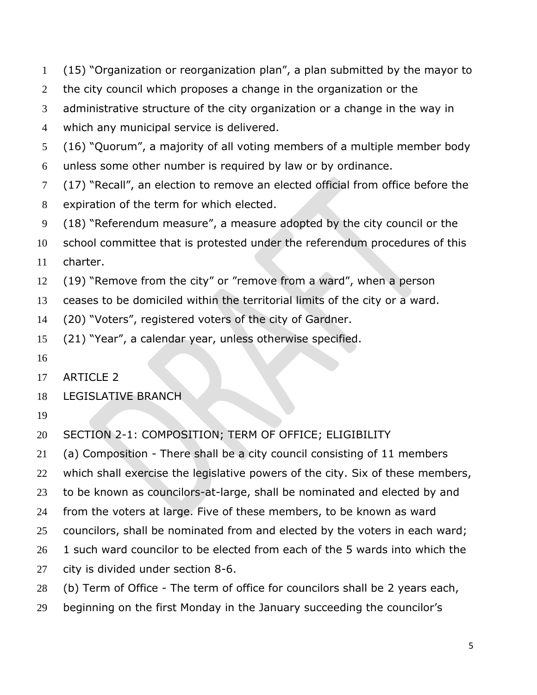- (15) "Organization or reorganization plan", a plan submitted by the mayor to
- 2 the city council which proposes a change in the organization or the
- administrative structure of the city organization or a change in the way in
- which any municipal service is delivered.
- (16) "Quorum", a majority of all voting members of a multiple member body
- unless some other number is required by law or by ordinance.
- (17) "Recall", an election to remove an elected official from office before the expiration of the term for which elected.
- (18) "Referendum measure", a measure adopted by the city council or the
- school committee that is protested under the referendum procedures of this charter.
- (19) "Remove from the city" or "remove from a ward", when a person
- ceases to be domiciled within the territorial limits of the city or a ward.
- (20) "Voters", registered voters of the city of Gardner.
- (21) "Year", a calendar year, unless otherwise specified.
- 
- ARTICLE 2
- LEGISLATIVE BRANCH
- 
- SECTION 2-1: COMPOSITION; TERM OF OFFICE; ELIGIBILITY
- (a) Composition There shall be a city council consisting of 11 members
- which shall exercise the legislative powers of the city. Six of these members,
- to be known as councilors-at-large, shall be nominated and elected by and
- from the voters at large. Five of these members, to be known as ward
- councilors, shall be nominated from and elected by the voters in each ward;
- 26 1 such ward councilor to be elected from each of the 5 wards into which the
- city is divided under section 8-6.
- (b) Term of Office The term of office for councilors shall be 2 years each,
- beginning on the first Monday in the January succeeding the councilor's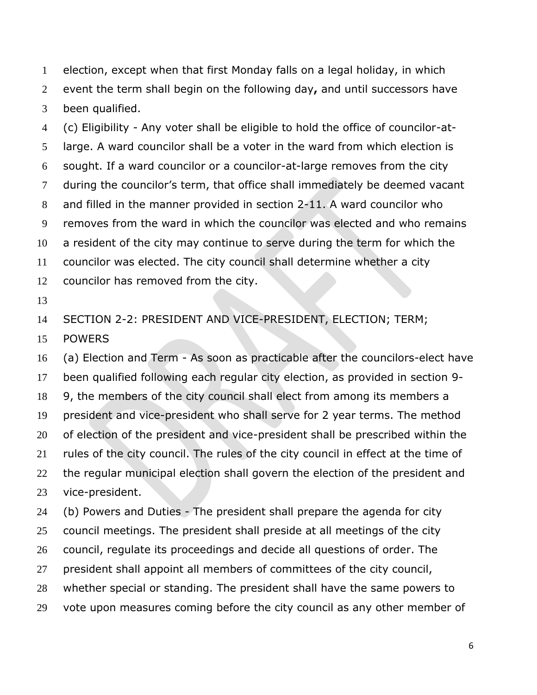election, except when that first Monday falls on a legal holiday, in which event the term shall begin on the following day**,** and until successors have been qualified.

 (c) Eligibility - Any voter shall be eligible to hold the office of councilor-at- large. A ward councilor shall be a voter in the ward from which election is sought. If a ward councilor or a councilor-at-large removes from the city during the councilor's term, that office shall immediately be deemed vacant and filled in the manner provided in section 2-11. A ward councilor who removes from the ward in which the councilor was elected and who remains a resident of the city may continue to serve during the term for which the councilor was elected. The city council shall determine whether a city councilor has removed from the city.

SECTION 2-2: PRESIDENT AND VICE-PRESIDENT, ELECTION; TERM;

POWERS

 (a) Election and Term - As soon as practicable after the councilors-elect have been qualified following each regular city election, as provided in section 9- 9, the members of the city council shall elect from among its members a president and vice-president who shall serve for 2 year terms. The method of election of the president and vice-president shall be prescribed within the rules of the city council. The rules of the city council in effect at the time of 22 the regular municipal election shall govern the election of the president and vice-president.

 (b) Powers and Duties - The president shall prepare the agenda for city council meetings. The president shall preside at all meetings of the city council, regulate its proceedings and decide all questions of order. The president shall appoint all members of committees of the city council, whether special or standing. The president shall have the same powers to 29 vote upon measures coming before the city council as any other member of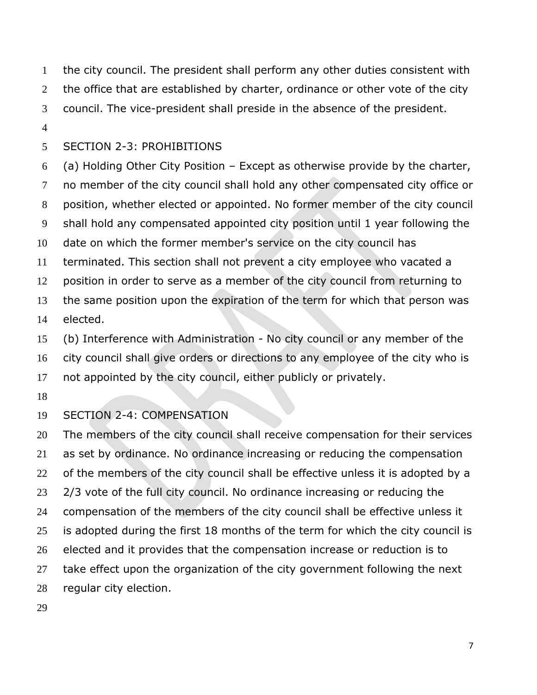the city council. The president shall perform any other duties consistent with 2 the office that are established by charter, ordinance or other vote of the city council. The vice-president shall preside in the absence of the president.

### SECTION 2-3: PROHIBITIONS

 (a) Holding Other City Position – Except as otherwise provide by the charter, no member of the city council shall hold any other compensated city office or position, whether elected or appointed. No former member of the city council shall hold any compensated appointed city position until 1 year following the date on which the former member's service on the city council has terminated. This section shall not prevent a city employee who vacated a position in order to serve as a member of the city council from returning to the same position upon the expiration of the term for which that person was elected.

 (b) Interference with Administration - No city council or any member of the city council shall give orders or directions to any employee of the city who is not appointed by the city council, either publicly or privately.

## SECTION 2-4: COMPENSATION

20 The members of the city council shall receive compensation for their services as set by ordinance. No ordinance increasing or reducing the compensation 22 of the members of the city council shall be effective unless it is adopted by a 23 2/3 vote of the full city council. No ordinance increasing or reducing the compensation of the members of the city council shall be effective unless it 25 is adopted during the first 18 months of the term for which the city council is elected and it provides that the compensation increase or reduction is to take effect upon the organization of the city government following the next regular city election.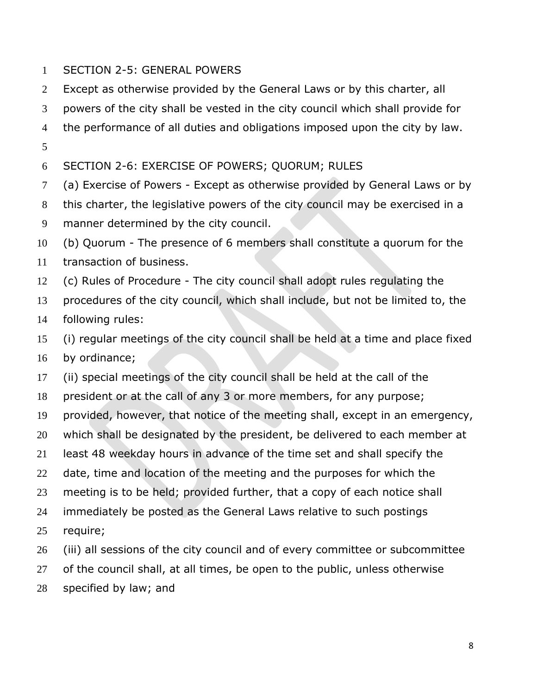- SECTION 2-5: GENERAL POWERS
- Except as otherwise provided by the General Laws or by this charter, all
- powers of the city shall be vested in the city council which shall provide for
- the performance of all duties and obligations imposed upon the city by law.
- SECTION 2-6: EXERCISE OF POWERS; QUORUM; RULES
- (a) Exercise of Powers Except as otherwise provided by General Laws or by
- this charter, the legislative powers of the city council may be exercised in a
- manner determined by the city council.
- (b) Quorum The presence of 6 members shall constitute a quorum for the
- transaction of business.
- (c) Rules of Procedure The city council shall adopt rules regulating the
- procedures of the city council, which shall include, but not be limited to, the
- following rules:
- (i) regular meetings of the city council shall be held at a time and place fixed by ordinance;
- (ii) special meetings of the city council shall be held at the call of the
- president or at the call of any 3 or more members, for any purpose;
- provided, however, that notice of the meeting shall, except in an emergency,
- which shall be designated by the president, be delivered to each member at
- least 48 weekday hours in advance of the time set and shall specify the
- 22 date, time and location of the meeting and the purposes for which the
- meeting is to be held; provided further, that a copy of each notice shall
- immediately be posted as the General Laws relative to such postings
- require;
- 26 (iii) all sessions of the city council and of every committee or subcommittee
- of the council shall, at all times, be open to the public, unless otherwise
- specified by law; and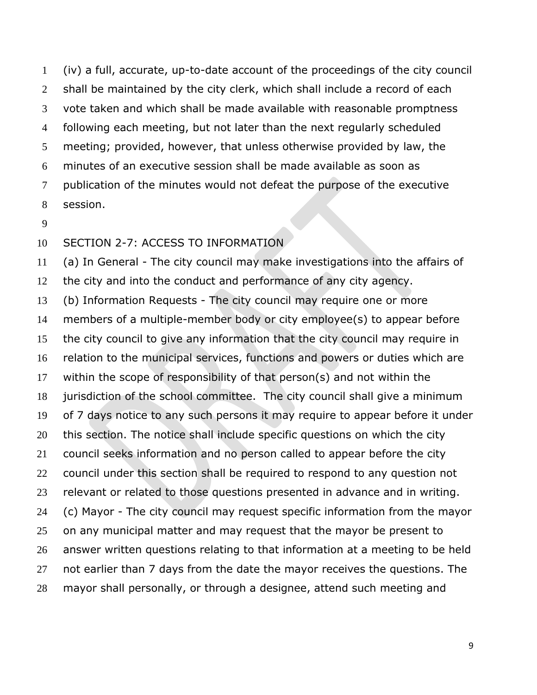(iv) a full, accurate, up-to-date account of the proceedings of the city council shall be maintained by the city clerk, which shall include a record of each vote taken and which shall be made available with reasonable promptness following each meeting, but not later than the next regularly scheduled meeting; provided, however, that unless otherwise provided by law, the minutes of an executive session shall be made available as soon as publication of the minutes would not defeat the purpose of the executive session.

#### SECTION 2-7: ACCESS TO INFORMATION

 (a) In General - The city council may make investigations into the affairs of the city and into the conduct and performance of any city agency. (b) Information Requests - The city council may require one or more members of a multiple-member body or city employee(s) to appear before the city council to give any information that the city council may require in relation to the municipal services, functions and powers or duties which are within the scope of responsibility of that person(s) and not within the jurisdiction of the school committee. The city council shall give a minimum of 7 days notice to any such persons it may require to appear before it under this section. The notice shall include specific questions on which the city council seeks information and no person called to appear before the city council under this section shall be required to respond to any question not relevant or related to those questions presented in advance and in writing. (c) Mayor - The city council may request specific information from the mayor on any municipal matter and may request that the mayor be present to answer written questions relating to that information at a meeting to be held not earlier than 7 days from the date the mayor receives the questions. The mayor shall personally, or through a designee, attend such meeting and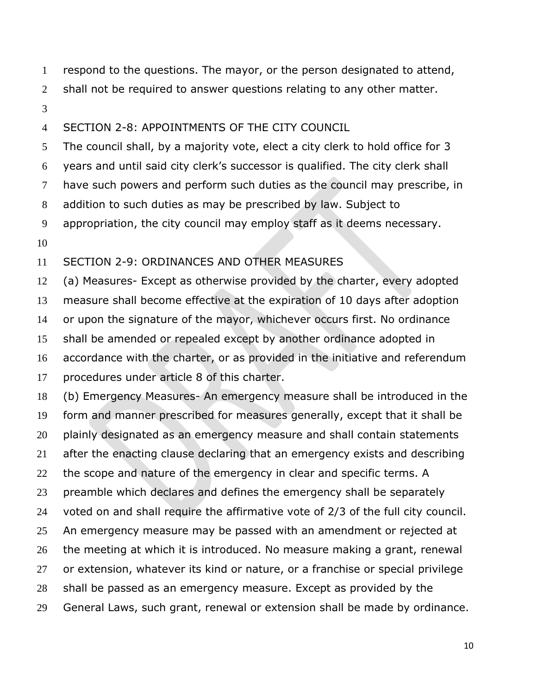respond to the questions. The mayor, or the person designated to attend,

- 2 shall not be required to answer questions relating to any other matter.
- 

### SECTION 2-8: APPOINTMENTS OF THE CITY COUNCIL

 The council shall, by a majority vote, elect a city clerk to hold office for 3 years and until said city clerk's successor is qualified. The city clerk shall have such powers and perform such duties as the council may prescribe, in addition to such duties as may be prescribed by law. Subject to appropriation, the city council may employ staff as it deems necessary.

## SECTION 2-9: ORDINANCES AND OTHER MEASURES

 (a) Measures- Except as otherwise provided by the charter, every adopted measure shall become effective at the expiration of 10 days after adoption or upon the signature of the mayor, whichever occurs first. No ordinance shall be amended or repealed except by another ordinance adopted in accordance with the charter, or as provided in the initiative and referendum procedures under article 8 of this charter.

 (b) Emergency Measures- An emergency measure shall be introduced in the form and manner prescribed for measures generally, except that it shall be 20 plainly designated as an emergency measure and shall contain statements after the enacting clause declaring that an emergency exists and describing 22 the scope and nature of the emergency in clear and specific terms. A preamble which declares and defines the emergency shall be separately voted on and shall require the affirmative vote of 2/3 of the full city council. 25 An emergency measure may be passed with an amendment or rejected at the meeting at which it is introduced. No measure making a grant, renewal or extension, whatever its kind or nature, or a franchise or special privilege shall be passed as an emergency measure. Except as provided by the General Laws, such grant, renewal or extension shall be made by ordinance.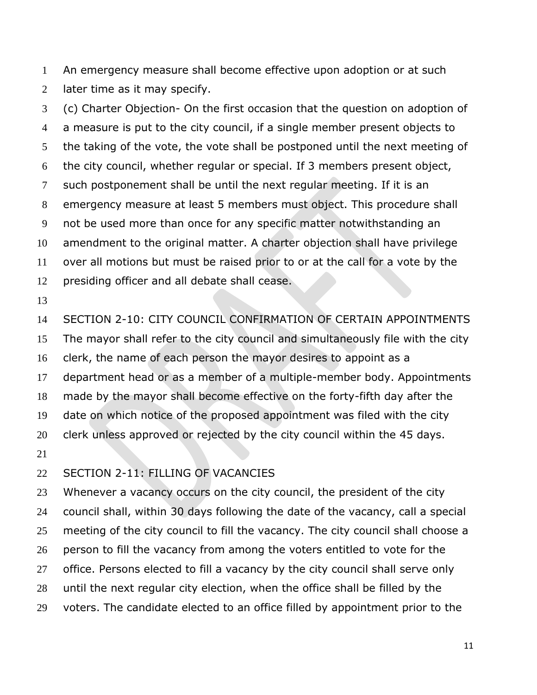An emergency measure shall become effective upon adoption or at such later time as it may specify.

 (c) Charter Objection- On the first occasion that the question on adoption of a measure is put to the city council, if a single member present objects to the taking of the vote, the vote shall be postponed until the next meeting of the city council, whether regular or special. If 3 members present object, such postponement shall be until the next regular meeting. If it is an emergency measure at least 5 members must object. This procedure shall not be used more than once for any specific matter notwithstanding an amendment to the original matter. A charter objection shall have privilege over all motions but must be raised prior to or at the call for a vote by the presiding officer and all debate shall cease.

 SECTION 2-10: CITY COUNCIL CONFIRMATION OF CERTAIN APPOINTMENTS The mayor shall refer to the city council and simultaneously file with the city clerk, the name of each person the mayor desires to appoint as a department head or as a member of a multiple-member body. Appointments made by the mayor shall become effective on the forty-fifth day after the date on which notice of the proposed appointment was filed with the city 20 clerk unless approved or rejected by the city council within the 45 days. 

#### SECTION 2-11: FILLING OF VACANCIES

23 Whenever a vacancy occurs on the city council, the president of the city council shall, within 30 days following the date of the vacancy, call a special meeting of the city council to fill the vacancy. The city council shall choose a person to fill the vacancy from among the voters entitled to vote for the office. Persons elected to fill a vacancy by the city council shall serve only until the next regular city election, when the office shall be filled by the voters. The candidate elected to an office filled by appointment prior to the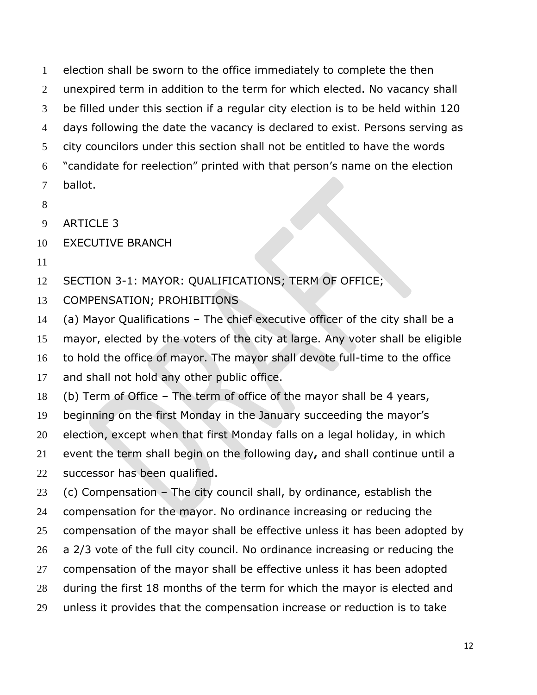election shall be sworn to the office immediately to complete the then unexpired term in addition to the term for which elected. No vacancy shall be filled under this section if a regular city election is to be held within 120 days following the date the vacancy is declared to exist. Persons serving as city councilors under this section shall not be entitled to have the words "candidate for reelection" printed with that person's name on the election ballot.

- 
- ARTICLE 3
- EXECUTIVE BRANCH
- 

SECTION 3-1: MAYOR: QUALIFICATIONS; TERM OF OFFICE;

- COMPENSATION; PROHIBITIONS
- (a) Mayor Qualifications The chief executive officer of the city shall be a

mayor, elected by the voters of the city at large. Any voter shall be eligible

to hold the office of mayor. The mayor shall devote full-time to the office

17 and shall not hold any other public office.

(b) Term of Office – The term of office of the mayor shall be 4 years,

beginning on the first Monday in the January succeeding the mayor's

election, except when that first Monday falls on a legal holiday, in which

event the term shall begin on the following day**,** and shall continue until a

successor has been qualified.

(c) Compensation – The city council shall, by ordinance, establish the

compensation for the mayor. No ordinance increasing or reducing the

compensation of the mayor shall be effective unless it has been adopted by

- a 2/3 vote of the full city council. No ordinance increasing or reducing the
- compensation of the mayor shall be effective unless it has been adopted
- during the first 18 months of the term for which the mayor is elected and
- unless it provides that the compensation increase or reduction is to take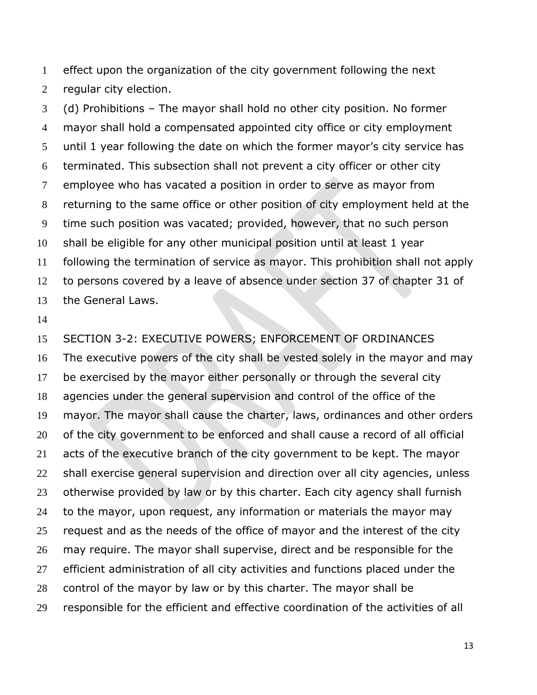effect upon the organization of the city government following the next regular city election.

 (d) Prohibitions – The mayor shall hold no other city position. No former mayor shall hold a compensated appointed city office or city employment until 1 year following the date on which the former mayor's city service has terminated. This subsection shall not prevent a city officer or other city employee who has vacated a position in order to serve as mayor from returning to the same office or other position of city employment held at the time such position was vacated; provided, however, that no such person shall be eligible for any other municipal position until at least 1 year following the termination of service as mayor. This prohibition shall not apply to persons covered by a leave of absence under section 37 of chapter 31 of the General Laws.

 SECTION 3-2: EXECUTIVE POWERS; ENFORCEMENT OF ORDINANCES The executive powers of the city shall be vested solely in the mayor and may be exercised by the mayor either personally or through the several city agencies under the general supervision and control of the office of the mayor. The mayor shall cause the charter, laws, ordinances and other orders of the city government to be enforced and shall cause a record of all official acts of the executive branch of the city government to be kept. The mayor shall exercise general supervision and direction over all city agencies, unless 23 otherwise provided by law or by this charter. Each city agency shall furnish to the mayor, upon request, any information or materials the mayor may 25 request and as the needs of the office of mayor and the interest of the city may require. The mayor shall supervise, direct and be responsible for the efficient administration of all city activities and functions placed under the control of the mayor by law or by this charter. The mayor shall be responsible for the efficient and effective coordination of the activities of all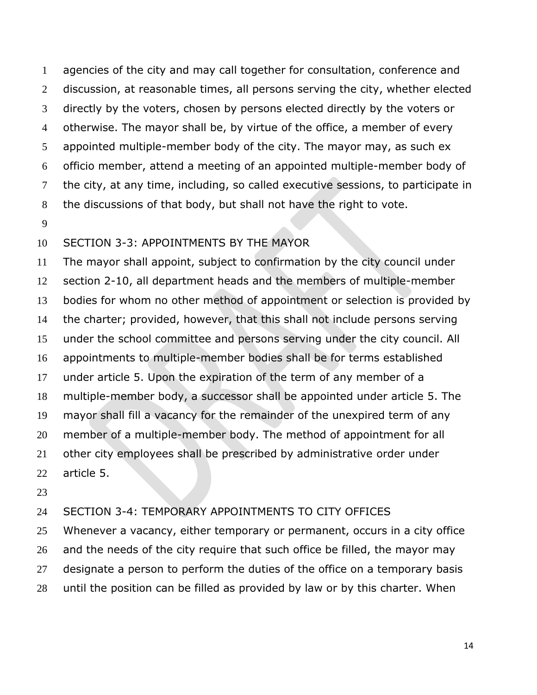agencies of the city and may call together for consultation, conference and 2 discussion, at reasonable times, all persons serving the city, whether elected directly by the voters, chosen by persons elected directly by the voters or otherwise. The mayor shall be, by virtue of the office, a member of every appointed multiple-member body of the city. The mayor may, as such ex officio member, attend a meeting of an appointed multiple-member body of the city, at any time, including, so called executive sessions, to participate in the discussions of that body, but shall not have the right to vote.

### SECTION 3-3: APPOINTMENTS BY THE MAYOR

 The mayor shall appoint, subject to confirmation by the city council under section 2-10, all department heads and the members of multiple-member bodies for whom no other method of appointment or selection is provided by the charter; provided, however, that this shall not include persons serving under the school committee and persons serving under the city council. All appointments to multiple-member bodies shall be for terms established under article 5. Upon the expiration of the term of any member of a multiple-member body, a successor shall be appointed under article 5. The mayor shall fill a vacancy for the remainder of the unexpired term of any member of a multiple-member body. The method of appointment for all 21 other city employees shall be prescribed by administrative order under article 5.

#### SECTION 3-4: TEMPORARY APPOINTMENTS TO CITY OFFICES

 Whenever a vacancy, either temporary or permanent, occurs in a city office and the needs of the city require that such office be filled, the mayor may designate a person to perform the duties of the office on a temporary basis until the position can be filled as provided by law or by this charter. When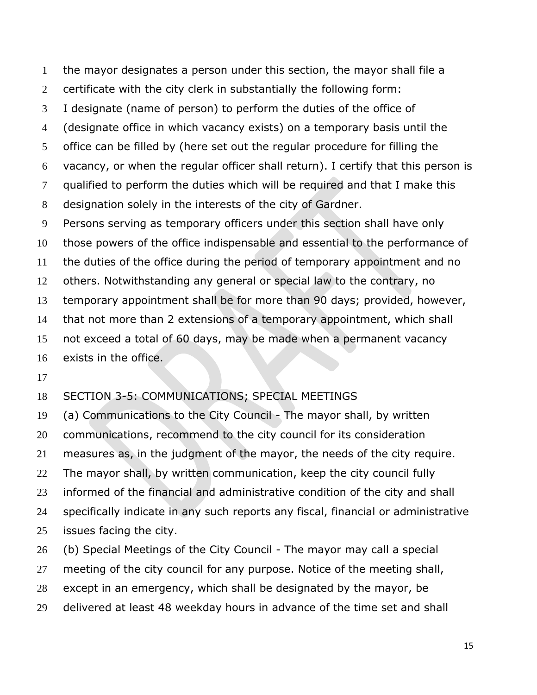the mayor designates a person under this section, the mayor shall file a certificate with the city clerk in substantially the following form: I designate (name of person) to perform the duties of the office of (designate office in which vacancy exists) on a temporary basis until the office can be filled by (here set out the regular procedure for filling the vacancy, or when the regular officer shall return). I certify that this person is qualified to perform the duties which will be required and that I make this designation solely in the interests of the city of Gardner. Persons serving as temporary officers under this section shall have only those powers of the office indispensable and essential to the performance of the duties of the office during the period of temporary appointment and no others. Notwithstanding any general or special law to the contrary, no temporary appointment shall be for more than 90 days; provided, however, that not more than 2 extensions of a temporary appointment, which shall not exceed a total of 60 days, may be made when a permanent vacancy exists in the office.

#### SECTION 3-5: COMMUNICATIONS; SPECIAL MEETINGS

 (a) Communications to the City Council - The mayor shall, by written communications, recommend to the city council for its consideration measures as, in the judgment of the mayor, the needs of the city require. 22 The mayor shall, by written communication, keep the city council fully informed of the financial and administrative condition of the city and shall specifically indicate in any such reports any fiscal, financial or administrative issues facing the city.

(b) Special Meetings of the City Council - The mayor may call a special

27 meeting of the city council for any purpose. Notice of the meeting shall,

except in an emergency, which shall be designated by the mayor, be

delivered at least 48 weekday hours in advance of the time set and shall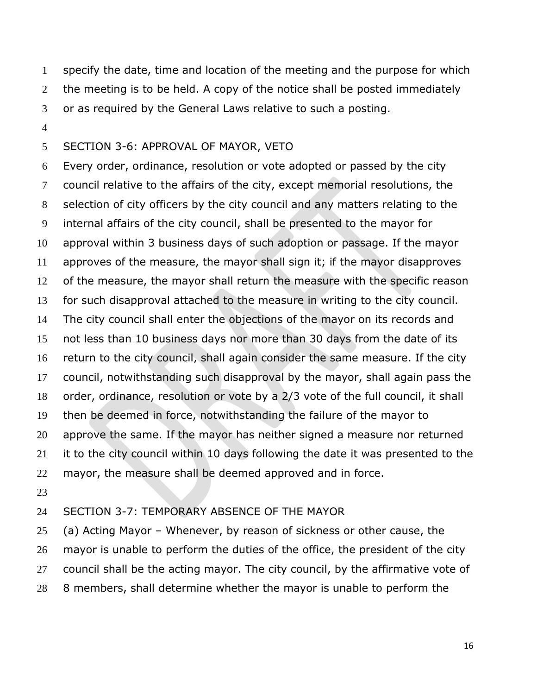specify the date, time and location of the meeting and the purpose for which the meeting is to be held. A copy of the notice shall be posted immediately or as required by the General Laws relative to such a posting.

#### SECTION 3-6: APPROVAL OF MAYOR, VETO

 Every order, ordinance, resolution or vote adopted or passed by the city council relative to the affairs of the city, except memorial resolutions, the selection of city officers by the city council and any matters relating to the internal affairs of the city council, shall be presented to the mayor for approval within 3 business days of such adoption or passage. If the mayor approves of the measure, the mayor shall sign it; if the mayor disapproves of the measure, the mayor shall return the measure with the specific reason for such disapproval attached to the measure in writing to the city council. The city council shall enter the objections of the mayor on its records and not less than 10 business days nor more than 30 days from the date of its return to the city council, shall again consider the same measure. If the city council, notwithstanding such disapproval by the mayor, shall again pass the order, ordinance, resolution or vote by a 2/3 vote of the full council, it shall then be deemed in force, notwithstanding the failure of the mayor to approve the same. If the mayor has neither signed a measure nor returned it to the city council within 10 days following the date it was presented to the mayor, the measure shall be deemed approved and in force.

#### SECTION 3-7: TEMPORARY ABSENCE OF THE MAYOR

 (a) Acting Mayor – Whenever, by reason of sickness or other cause, the mayor is unable to perform the duties of the office, the president of the city council shall be the acting mayor. The city council, by the affirmative vote of 8 members, shall determine whether the mayor is unable to perform the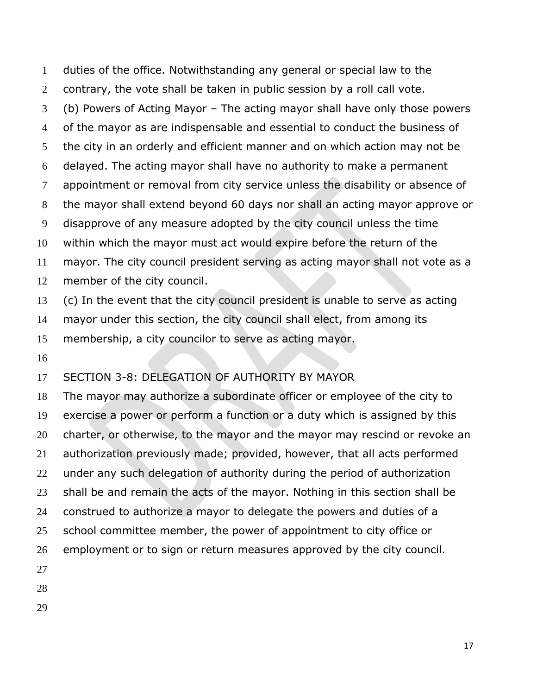duties of the office. Notwithstanding any general or special law to the contrary, the vote shall be taken in public session by a roll call vote. (b) Powers of Acting Mayor – The acting mayor shall have only those powers of the mayor as are indispensable and essential to conduct the business of the city in an orderly and efficient manner and on which action may not be delayed. The acting mayor shall have no authority to make a permanent appointment or removal from city service unless the disability or absence of the mayor shall extend beyond 60 days nor shall an acting mayor approve or disapprove of any measure adopted by the city council unless the time within which the mayor must act would expire before the return of the mayor. The city council president serving as acting mayor shall not vote as a member of the city council. (c) In the event that the city council president is unable to serve as acting mayor under this section, the city council shall elect, from among its

membership, a city councilor to serve as acting mayor.

# SECTION 3-8: DELEGATION OF AUTHORITY BY MAYOR

 The mayor may authorize a subordinate officer or employee of the city to exercise a power or perform a function or a duty which is assigned by this charter, or otherwise, to the mayor and the mayor may rescind or revoke an authorization previously made; provided, however, that all acts performed under any such delegation of authority during the period of authorization shall be and remain the acts of the mayor. Nothing in this section shall be construed to authorize a mayor to delegate the powers and duties of a 25 school committee member, the power of appointment to city office or employment or to sign or return measures approved by the city council. 

- 
-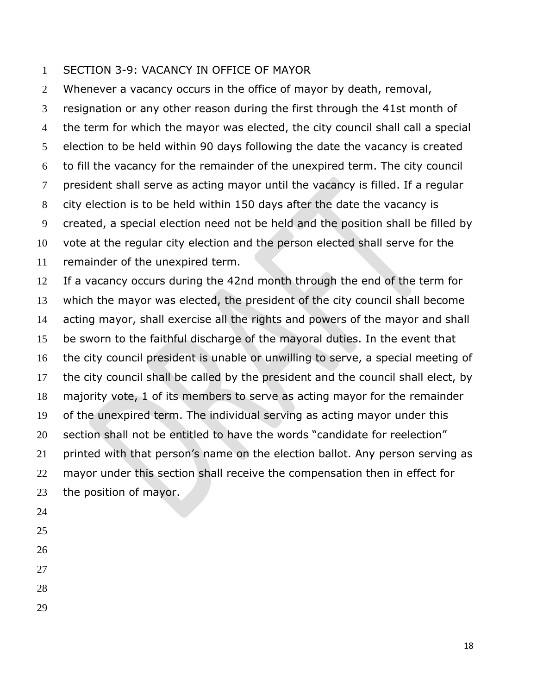#### SECTION 3-9: VACANCY IN OFFICE OF MAYOR

 Whenever a vacancy occurs in the office of mayor by death, removal, resignation or any other reason during the first through the 41st month of the term for which the mayor was elected, the city council shall call a special election to be held within 90 days following the date the vacancy is created to fill the vacancy for the remainder of the unexpired term. The city council president shall serve as acting mayor until the vacancy is filled. If a regular city election is to be held within 150 days after the date the vacancy is created, a special election need not be held and the position shall be filled by vote at the regular city election and the person elected shall serve for the remainder of the unexpired term.

 If a vacancy occurs during the 42nd month through the end of the term for which the mayor was elected, the president of the city council shall become acting mayor, shall exercise all the rights and powers of the mayor and shall be sworn to the faithful discharge of the mayoral duties. In the event that the city council president is unable or unwilling to serve, a special meeting of the city council shall be called by the president and the council shall elect, by majority vote, 1 of its members to serve as acting mayor for the remainder of the unexpired term. The individual serving as acting mayor under this 20 section shall not be entitled to have the words "candidate for reelection" printed with that person's name on the election ballot. Any person serving as mayor under this section shall receive the compensation then in effect for the position of mayor.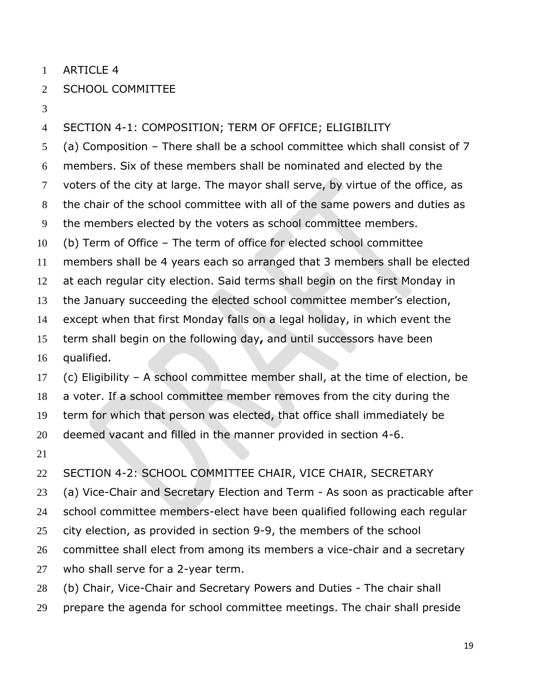ARTICLE 4

### SCHOOL COMMITTEE

## SECTION 4-1: COMPOSITION; TERM OF OFFICE; ELIGIBILITY

 (a) Composition – There shall be a school committee which shall consist of 7 members. Six of these members shall be nominated and elected by the voters of the city at large. The mayor shall serve, by virtue of the office, as the chair of the school committee with all of the same powers and duties as the members elected by the voters as school committee members. (b) Term of Office – The term of office for elected school committee members shall be 4 years each so arranged that 3 members shall be elected at each regular city election. Said terms shall begin on the first Monday in the January succeeding the elected school committee member's election, except when that first Monday falls on a legal holiday, in which event the term shall begin on the following day**,** and until successors have been qualified. (c) Eligibility – A school committee member shall, at the time of election, be a voter. If a school committee member removes from the city during the term for which that person was elected, that office shall immediately be deemed vacant and filled in the manner provided in section 4-6.

 SECTION 4-2: SCHOOL COMMITTEE CHAIR, VICE CHAIR, SECRETARY (a) Vice-Chair and Secretary Election and Term - As soon as practicable after school committee members-elect have been qualified following each regular city election, as provided in section 9-9, the members of the school committee shall elect from among its members a vice-chair and a secretary who shall serve for a 2-year term.

- (b) Chair, Vice-Chair and Secretary Powers and Duties The chair shall
- prepare the agenda for school committee meetings. The chair shall preside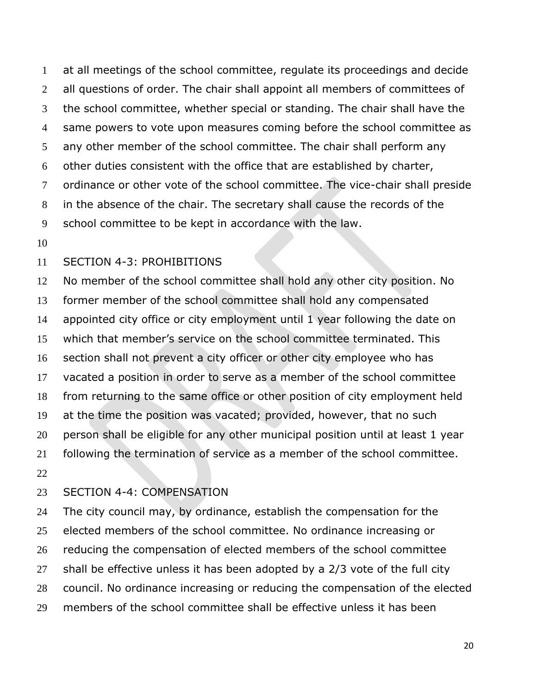at all meetings of the school committee, regulate its proceedings and decide all questions of order. The chair shall appoint all members of committees of the school committee, whether special or standing. The chair shall have the same powers to vote upon measures coming before the school committee as any other member of the school committee. The chair shall perform any other duties consistent with the office that are established by charter, ordinance or other vote of the school committee. The vice-chair shall preside in the absence of the chair. The secretary shall cause the records of the school committee to be kept in accordance with the law.

#### SECTION 4-3: PROHIBITIONS

 No member of the school committee shall hold any other city position. No former member of the school committee shall hold any compensated appointed city office or city employment until 1 year following the date on which that member's service on the school committee terminated. This section shall not prevent a city officer or other city employee who has vacated a position in order to serve as a member of the school committee from returning to the same office or other position of city employment held at the time the position was vacated; provided, however, that no such person shall be eligible for any other municipal position until at least 1 year following the termination of service as a member of the school committee. 

#### SECTION 4-4: COMPENSATION

 The city council may, by ordinance, establish the compensation for the 25 elected members of the school committee. No ordinance increasing or 26 reducing the compensation of elected members of the school committee shall be effective unless it has been adopted by a 2/3 vote of the full city council. No ordinance increasing or reducing the compensation of the elected members of the school committee shall be effective unless it has been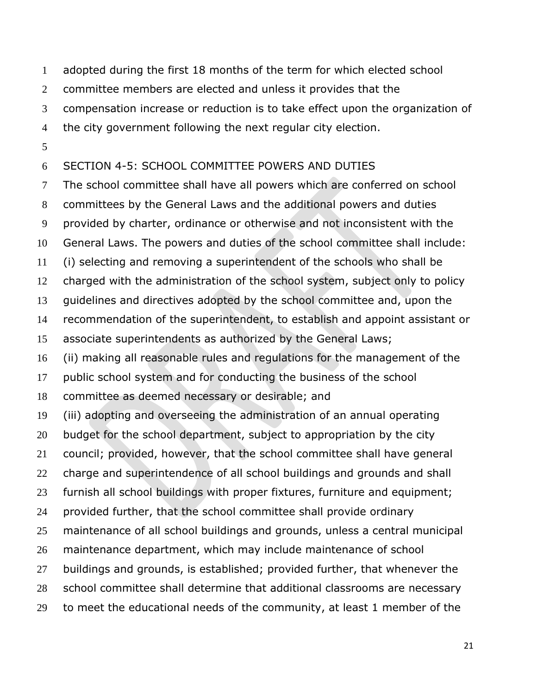adopted during the first 18 months of the term for which elected school

committee members are elected and unless it provides that the

compensation increase or reduction is to take effect upon the organization of

the city government following the next regular city election.

# SECTION 4-5: SCHOOL COMMITTEE POWERS AND DUTIES

 The school committee shall have all powers which are conferred on school committees by the General Laws and the additional powers and duties provided by charter, ordinance or otherwise and not inconsistent with the General Laws. The powers and duties of the school committee shall include: (i) selecting and removing a superintendent of the schools who shall be charged with the administration of the school system, subject only to policy guidelines and directives adopted by the school committee and, upon the recommendation of the superintendent, to establish and appoint assistant or associate superintendents as authorized by the General Laws; (ii) making all reasonable rules and regulations for the management of the public school system and for conducting the business of the school committee as deemed necessary or desirable; and (iii) adopting and overseeing the administration of an annual operating 20 budget for the school department, subject to appropriation by the city council; provided, however, that the school committee shall have general charge and superintendence of all school buildings and grounds and shall furnish all school buildings with proper fixtures, furniture and equipment; provided further, that the school committee shall provide ordinary maintenance of all school buildings and grounds, unless a central municipal maintenance department, which may include maintenance of school buildings and grounds, is established; provided further, that whenever the school committee shall determine that additional classrooms are necessary to meet the educational needs of the community, at least 1 member of the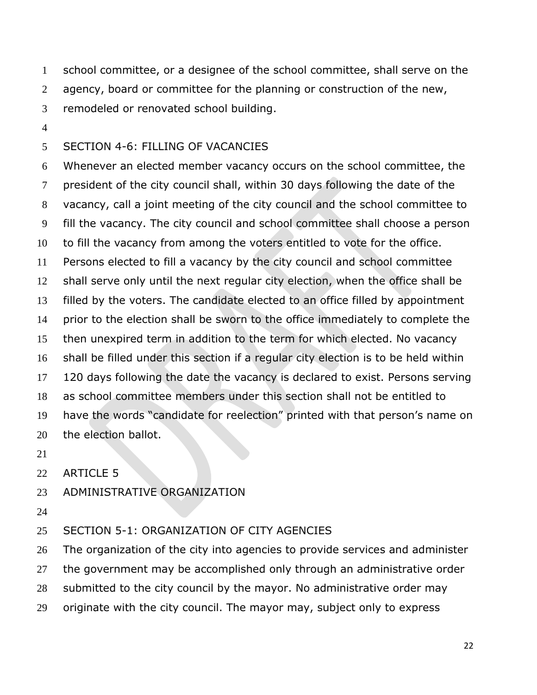school committee, or a designee of the school committee, shall serve on the 2 agency, board or committee for the planning or construction of the new, remodeled or renovated school building.

### SECTION 4-6: FILLING OF VACANCIES

 Whenever an elected member vacancy occurs on the school committee, the president of the city council shall, within 30 days following the date of the vacancy, call a joint meeting of the city council and the school committee to fill the vacancy. The city council and school committee shall choose a person to fill the vacancy from among the voters entitled to vote for the office. Persons elected to fill a vacancy by the city council and school committee shall serve only until the next regular city election, when the office shall be filled by the voters. The candidate elected to an office filled by appointment prior to the election shall be sworn to the office immediately to complete the then unexpired term in addition to the term for which elected. No vacancy shall be filled under this section if a regular city election is to be held within 120 days following the date the vacancy is declared to exist. Persons serving as school committee members under this section shall not be entitled to have the words "candidate for reelection" printed with that person's name on the election ballot.

- 
- ARTICLE 5

#### ADMINISTRATIVE ORGANIZATION

#### SECTION 5-1: ORGANIZATION OF CITY AGENCIES

The organization of the city into agencies to provide services and administer

27 the government may be accomplished only through an administrative order

- submitted to the city council by the mayor. No administrative order may
- originate with the city council. The mayor may, subject only to express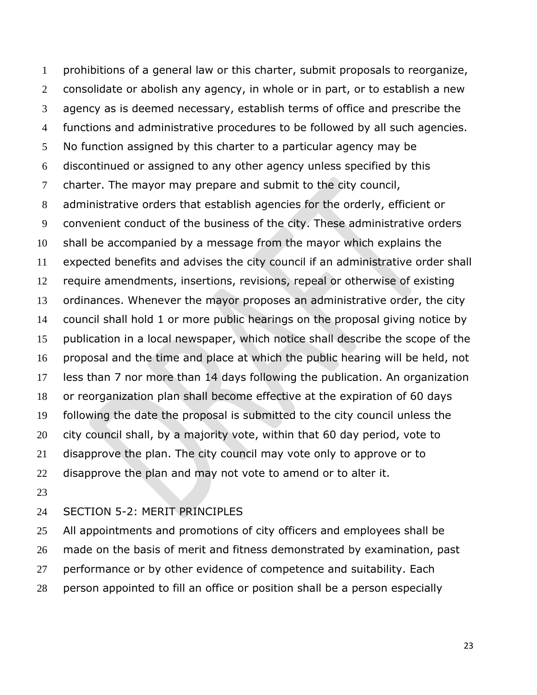prohibitions of a general law or this charter, submit proposals to reorganize, consolidate or abolish any agency, in whole or in part, or to establish a new agency as is deemed necessary, establish terms of office and prescribe the functions and administrative procedures to be followed by all such agencies. No function assigned by this charter to a particular agency may be discontinued or assigned to any other agency unless specified by this charter. The mayor may prepare and submit to the city council, administrative orders that establish agencies for the orderly, efficient or convenient conduct of the business of the city. These administrative orders shall be accompanied by a message from the mayor which explains the expected benefits and advises the city council if an administrative order shall require amendments, insertions, revisions, repeal or otherwise of existing ordinances. Whenever the mayor proposes an administrative order, the city council shall hold 1 or more public hearings on the proposal giving notice by publication in a local newspaper, which notice shall describe the scope of the proposal and the time and place at which the public hearing will be held, not less than 7 nor more than 14 days following the publication. An organization or reorganization plan shall become effective at the expiration of 60 days following the date the proposal is submitted to the city council unless the city council shall, by a majority vote, within that 60 day period, vote to disapprove the plan. The city council may vote only to approve or to disapprove the plan and may not vote to amend or to alter it. 

#### SECTION 5-2: MERIT PRINCIPLES

25 All appointments and promotions of city officers and employees shall be made on the basis of merit and fitness demonstrated by examination, past 27 performance or by other evidence of competence and suitability. Each person appointed to fill an office or position shall be a person especially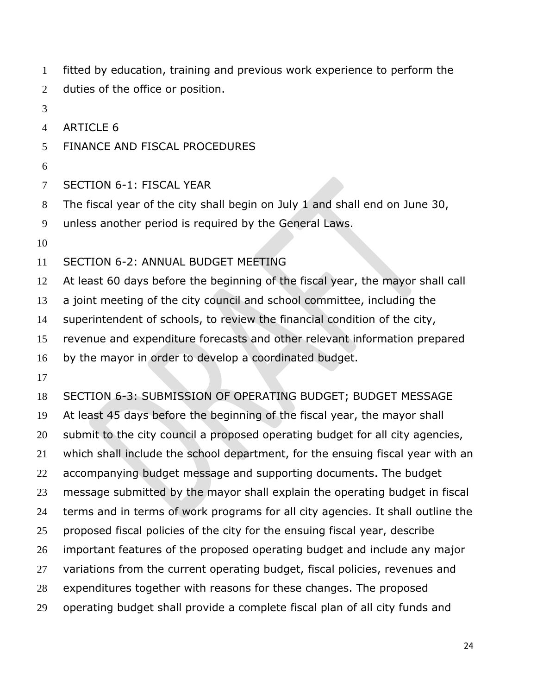fitted by education, training and previous work experience to perform the 2 duties of the office or position.

- 
- ARTICLE 6

### FINANCE AND FISCAL PROCEDURES

- 
- SECTION 6-1: FISCAL YEAR
- The fiscal year of the city shall begin on July 1 and shall end on June 30,

unless another period is required by the General Laws.

SECTION 6-2: ANNUAL BUDGET MEETING

At least 60 days before the beginning of the fiscal year, the mayor shall call

a joint meeting of the city council and school committee, including the

superintendent of schools, to review the financial condition of the city,

revenue and expenditure forecasts and other relevant information prepared

by the mayor in order to develop a coordinated budget.

SECTION 6-3: SUBMISSION OF OPERATING BUDGET; BUDGET MESSAGE

At least 45 days before the beginning of the fiscal year, the mayor shall

submit to the city council a proposed operating budget for all city agencies,

which shall include the school department, for the ensuing fiscal year with an

accompanying budget message and supporting documents. The budget

message submitted by the mayor shall explain the operating budget in fiscal

terms and in terms of work programs for all city agencies. It shall outline the

proposed fiscal policies of the city for the ensuing fiscal year, describe

important features of the proposed operating budget and include any major

- 27 variations from the current operating budget, fiscal policies, revenues and
- expenditures together with reasons for these changes. The proposed
- operating budget shall provide a complete fiscal plan of all city funds and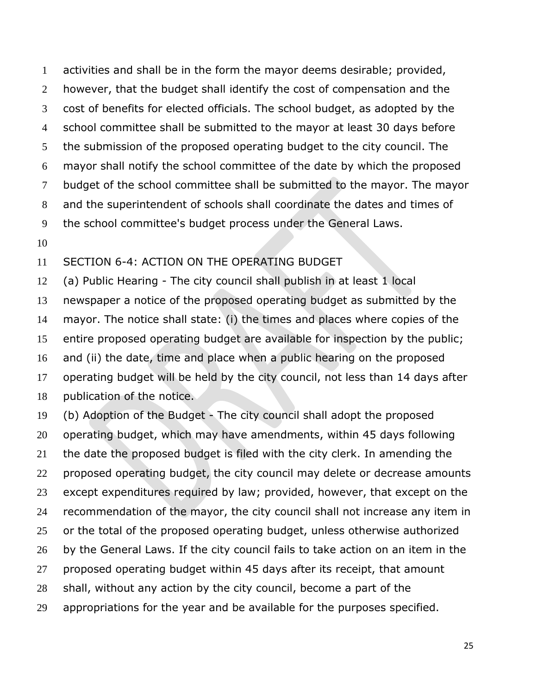activities and shall be in the form the mayor deems desirable; provided, 2 however, that the budget shall identify the cost of compensation and the cost of benefits for elected officials. The school budget, as adopted by the school committee shall be submitted to the mayor at least 30 days before the submission of the proposed operating budget to the city council. The mayor shall notify the school committee of the date by which the proposed budget of the school committee shall be submitted to the mayor. The mayor and the superintendent of schools shall coordinate the dates and times of the school committee's budget process under the General Laws.

### SECTION 6-4: ACTION ON THE OPERATING BUDGET

 (a) Public Hearing - The city council shall publish in at least 1 local newspaper a notice of the proposed operating budget as submitted by the mayor. The notice shall state: (i) the times and places where copies of the entire proposed operating budget are available for inspection by the public; and (ii) the date, time and place when a public hearing on the proposed operating budget will be held by the city council, not less than 14 days after publication of the notice.

 (b) Adoption of the Budget - The city council shall adopt the proposed operating budget, which may have amendments, within 45 days following the date the proposed budget is filed with the city clerk. In amending the proposed operating budget, the city council may delete or decrease amounts except expenditures required by law; provided, however, that except on the recommendation of the mayor, the city council shall not increase any item in or the total of the proposed operating budget, unless otherwise authorized by the General Laws. If the city council fails to take action on an item in the proposed operating budget within 45 days after its receipt, that amount shall, without any action by the city council, become a part of the appropriations for the year and be available for the purposes specified.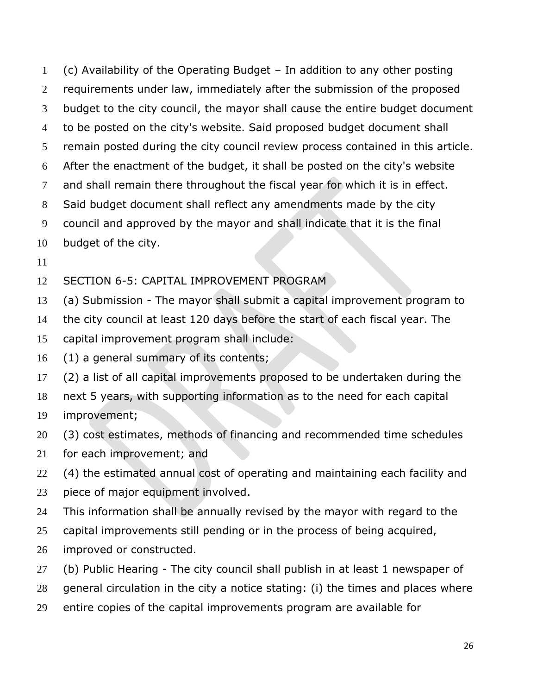(c) Availability of the Operating Budget – In addition to any other posting requirements under law, immediately after the submission of the proposed budget to the city council, the mayor shall cause the entire budget document to be posted on the city's website. Said proposed budget document shall remain posted during the city council review process contained in this article. After the enactment of the budget, it shall be posted on the city's website and shall remain there throughout the fiscal year for which it is in effect. Said budget document shall reflect any amendments made by the city council and approved by the mayor and shall indicate that it is the final budget of the city. SECTION 6-5: CAPITAL IMPROVEMENT PROGRAM

- (a) Submission The mayor shall submit a capital improvement program to
- the city council at least 120 days before the start of each fiscal year. The
- capital improvement program shall include:
- (1) a general summary of its contents;
- (2) a list of all capital improvements proposed to be undertaken during the
- next 5 years, with supporting information as to the need for each capital
- improvement;
- (3) cost estimates, methods of financing and recommended time schedules
- for each improvement; and
- (4) the estimated annual cost of operating and maintaining each facility and
- piece of major equipment involved.
- This information shall be annually revised by the mayor with regard to the
- 25 capital improvements still pending or in the process of being acquired,
- improved or constructed.
- (b) Public Hearing The city council shall publish in at least 1 newspaper of
- general circulation in the city a notice stating: (i) the times and places where
- entire copies of the capital improvements program are available for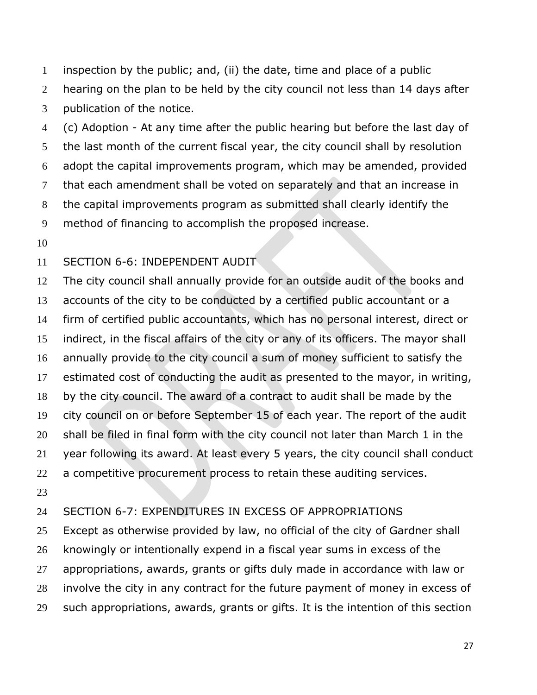inspection by the public; and, (ii) the date, time and place of a public 2 hearing on the plan to be held by the city council not less than 14 days after publication of the notice.

 (c) Adoption - At any time after the public hearing but before the last day of the last month of the current fiscal year, the city council shall by resolution adopt the capital improvements program, which may be amended, provided that each amendment shall be voted on separately and that an increase in the capital improvements program as submitted shall clearly identify the method of financing to accomplish the proposed increase.

### SECTION 6-6: INDEPENDENT AUDIT

 The city council shall annually provide for an outside audit of the books and accounts of the city to be conducted by a certified public accountant or a firm of certified public accountants, which has no personal interest, direct or indirect, in the fiscal affairs of the city or any of its officers. The mayor shall annually provide to the city council a sum of money sufficient to satisfy the estimated cost of conducting the audit as presented to the mayor, in writing, by the city council. The award of a contract to audit shall be made by the city council on or before September 15 of each year. The report of the audit shall be filed in final form with the city council not later than March 1 in the year following its award. At least every 5 years, the city council shall conduct 22 a competitive procurement process to retain these auditing services. 

#### SECTION 6-7: EXPENDITURES IN EXCESS OF APPROPRIATIONS

 Except as otherwise provided by law, no official of the city of Gardner shall knowingly or intentionally expend in a fiscal year sums in excess of the appropriations, awards, grants or gifts duly made in accordance with law or involve the city in any contract for the future payment of money in excess of such appropriations, awards, grants or gifts. It is the intention of this section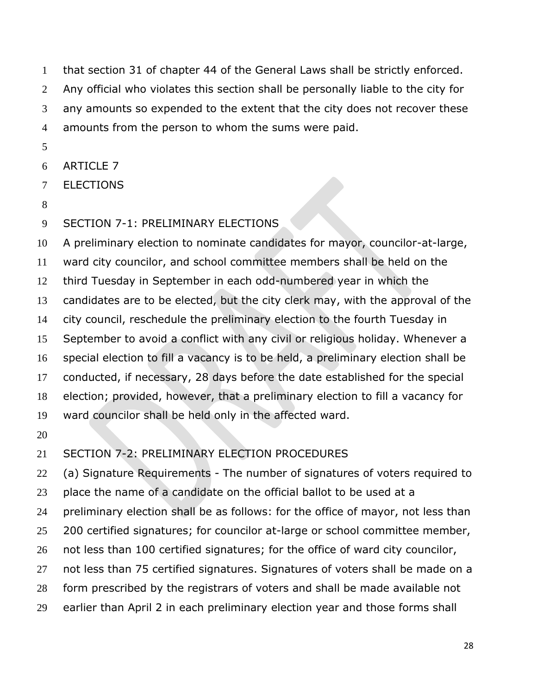that section 31 of chapter 44 of the General Laws shall be strictly enforced. Any official who violates this section shall be personally liable to the city for any amounts so expended to the extent that the city does not recover these amounts from the person to whom the sums were paid.

- 
- ARTICLE 7
- ELECTIONS
- 
- SECTION 7-1: PRELIMINARY ELECTIONS

 A preliminary election to nominate candidates for mayor, councilor-at-large, ward city councilor, and school committee members shall be held on the third Tuesday in September in each odd-numbered year in which the candidates are to be elected, but the city clerk may, with the approval of the city council, reschedule the preliminary election to the fourth Tuesday in September to avoid a conflict with any civil or religious holiday. Whenever a special election to fill a vacancy is to be held, a preliminary election shall be conducted, if necessary, 28 days before the date established for the special election; provided, however, that a preliminary election to fill a vacancy for ward councilor shall be held only in the affected ward.

# SECTION 7-2: PRELIMINARY ELECTION PROCEDURES

 (a) Signature Requirements - The number of signatures of voters required to place the name of a candidate on the official ballot to be used at a preliminary election shall be as follows: for the office of mayor, not less than 25 200 certified signatures; for councilor at-large or school committee member, 26 not less than 100 certified signatures; for the office of ward city councilor, not less than 75 certified signatures. Signatures of voters shall be made on a form prescribed by the registrars of voters and shall be made available not earlier than April 2 in each preliminary election year and those forms shall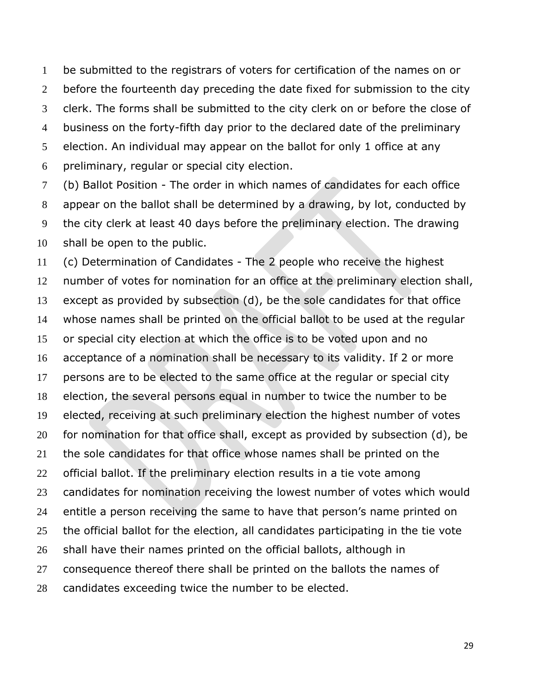be submitted to the registrars of voters for certification of the names on or 2 before the fourteenth day preceding the date fixed for submission to the city clerk. The forms shall be submitted to the city clerk on or before the close of business on the forty-fifth day prior to the declared date of the preliminary election. An individual may appear on the ballot for only 1 office at any preliminary, regular or special city election.

 (b) Ballot Position - The order in which names of candidates for each office appear on the ballot shall be determined by a drawing, by lot, conducted by the city clerk at least 40 days before the preliminary election. The drawing shall be open to the public.

 (c) Determination of Candidates - The 2 people who receive the highest number of votes for nomination for an office at the preliminary election shall, except as provided by subsection (d), be the sole candidates for that office whose names shall be printed on the official ballot to be used at the regular or special city election at which the office is to be voted upon and no acceptance of a nomination shall be necessary to its validity. If 2 or more persons are to be elected to the same office at the regular or special city election, the several persons equal in number to twice the number to be elected, receiving at such preliminary election the highest number of votes for nomination for that office shall, except as provided by subsection (d), be the sole candidates for that office whose names shall be printed on the official ballot. If the preliminary election results in a tie vote among candidates for nomination receiving the lowest number of votes which would entitle a person receiving the same to have that person's name printed on the official ballot for the election, all candidates participating in the tie vote shall have their names printed on the official ballots, although in consequence thereof there shall be printed on the ballots the names of candidates exceeding twice the number to be elected.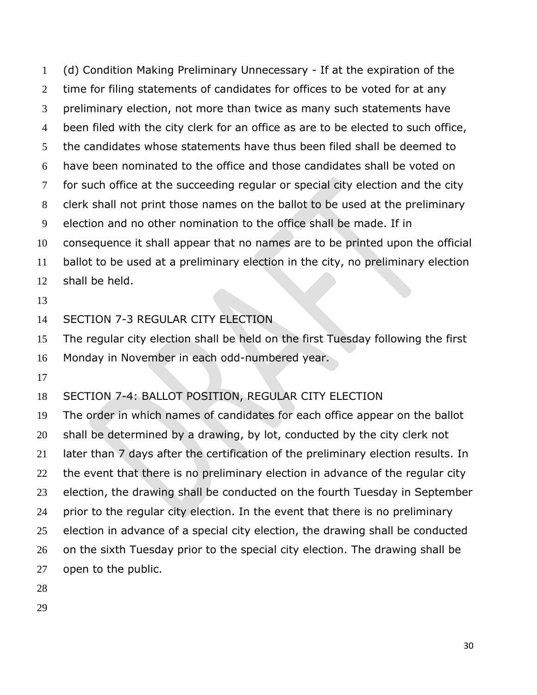(d) Condition Making Preliminary Unnecessary - If at the expiration of the time for filing statements of candidates for offices to be voted for at any preliminary election, not more than twice as many such statements have been filed with the city clerk for an office as are to be elected to such office, the candidates whose statements have thus been filed shall be deemed to have been nominated to the office and those candidates shall be voted on for such office at the succeeding regular or special city election and the city clerk shall not print those names on the ballot to be used at the preliminary election and no other nomination to the office shall be made. If in consequence it shall appear that no names are to be printed upon the official ballot to be used at a preliminary election in the city, no preliminary election shall be held. 

SECTION 7-3 REGULAR CITY ELECTION

 The regular city election shall be held on the first Tuesday following the first Monday in November in each odd-numbered year.

SECTION 7-4: BALLOT POSITION, REGULAR CITY ELECTION

 The order in which names of candidates for each office appear on the ballot shall be determined by a drawing, by lot, conducted by the city clerk not later than 7 days after the certification of the preliminary election results. In 22 the event that there is no preliminary election in advance of the regular city election, the drawing shall be conducted on the fourth Tuesday in September prior to the regular city election. In the event that there is no preliminary election in advance of a special city election, the drawing shall be conducted 26 on the sixth Tuesday prior to the special city election. The drawing shall be open to the public.

- 
-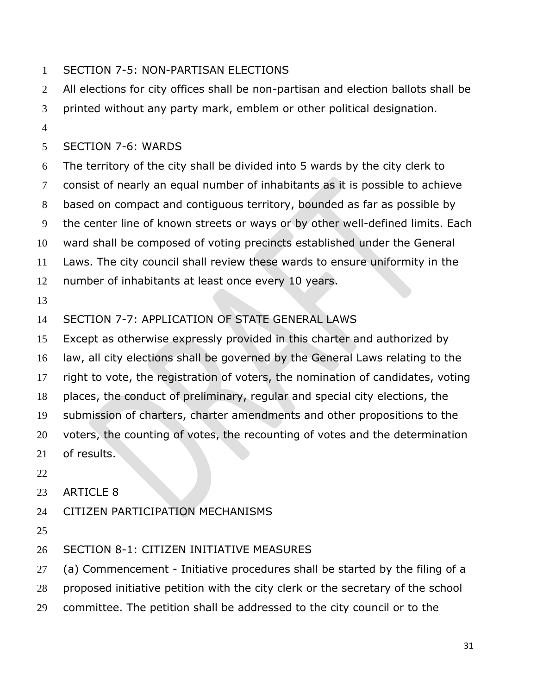## SECTION 7-5: NON-PARTISAN ELECTIONS

- All elections for city offices shall be non-partisan and election ballots shall be
- printed without any party mark, emblem or other political designation.
- 

# SECTION 7-6: WARDS

 The territory of the city shall be divided into 5 wards by the city clerk to consist of nearly an equal number of inhabitants as it is possible to achieve based on compact and contiguous territory, bounded as far as possible by the center line of known streets or ways or by other well-defined limits. Each ward shall be composed of voting precincts established under the General Laws. The city council shall review these wards to ensure uniformity in the number of inhabitants at least once every 10 years.

# SECTION 7-7: APPLICATION OF STATE GENERAL LAWS

Except as otherwise expressly provided in this charter and authorized by

law, all city elections shall be governed by the General Laws relating to the

right to vote, the registration of voters, the nomination of candidates, voting

places, the conduct of preliminary, regular and special city elections, the

submission of charters, charter amendments and other propositions to the

voters, the counting of votes, the recounting of votes and the determination

- of results.
- 
- ARTICLE 8
- CITIZEN PARTICIPATION MECHANISMS
- 

# SECTION 8-1: CITIZEN INITIATIVE MEASURES

(a) Commencement - Initiative procedures shall be started by the filing of a

- proposed initiative petition with the city clerk or the secretary of the school
- committee. The petition shall be addressed to the city council or to the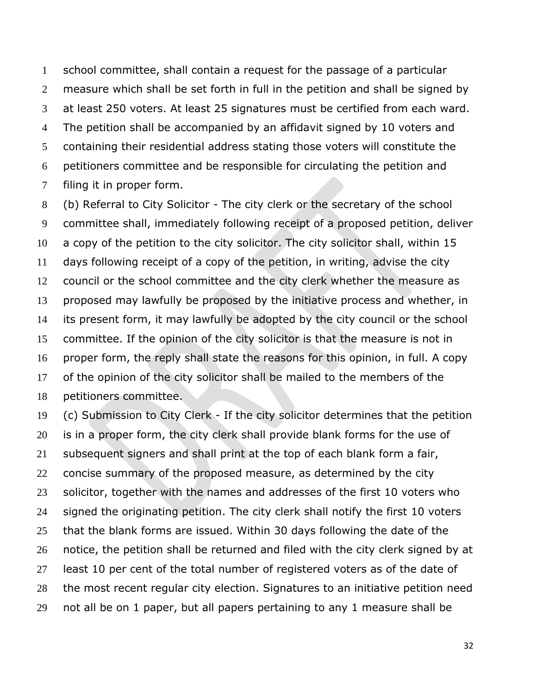school committee, shall contain a request for the passage of a particular measure which shall be set forth in full in the petition and shall be signed by at least 250 voters. At least 25 signatures must be certified from each ward. The petition shall be accompanied by an affidavit signed by 10 voters and containing their residential address stating those voters will constitute the petitioners committee and be responsible for circulating the petition and filing it in proper form.

 (b) Referral to City Solicitor - The city clerk or the secretary of the school committee shall, immediately following receipt of a proposed petition, deliver a copy of the petition to the city solicitor. The city solicitor shall, within 15 days following receipt of a copy of the petition, in writing, advise the city council or the school committee and the city clerk whether the measure as proposed may lawfully be proposed by the initiative process and whether, in its present form, it may lawfully be adopted by the city council or the school committee. If the opinion of the city solicitor is that the measure is not in proper form, the reply shall state the reasons for this opinion, in full. A copy of the opinion of the city solicitor shall be mailed to the members of the petitioners committee.

 (c) Submission to City Clerk - If the city solicitor determines that the petition is in a proper form, the city clerk shall provide blank forms for the use of subsequent signers and shall print at the top of each blank form a fair, concise summary of the proposed measure, as determined by the city solicitor, together with the names and addresses of the first 10 voters who signed the originating petition. The city clerk shall notify the first 10 voters that the blank forms are issued. Within 30 days following the date of the notice, the petition shall be returned and filed with the city clerk signed by at 27 least 10 per cent of the total number of registered voters as of the date of the most recent regular city election. Signatures to an initiative petition need not all be on 1 paper, but all papers pertaining to any 1 measure shall be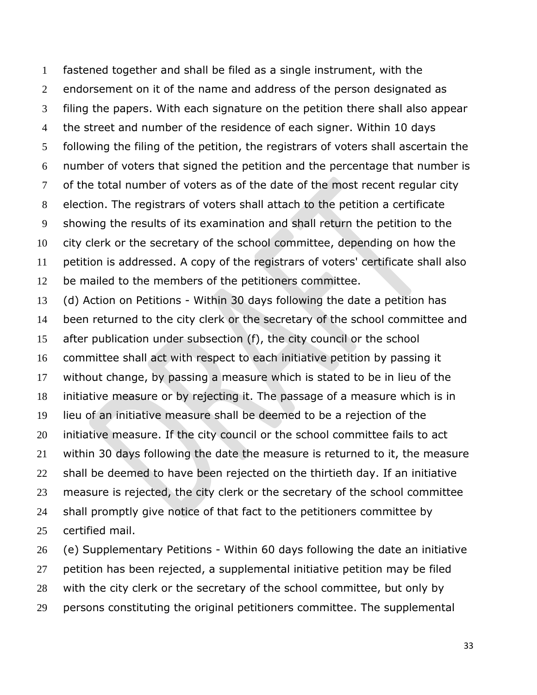fastened together and shall be filed as a single instrument, with the endorsement on it of the name and address of the person designated as filing the papers. With each signature on the petition there shall also appear the street and number of the residence of each signer. Within 10 days following the filing of the petition, the registrars of voters shall ascertain the number of voters that signed the petition and the percentage that number is of the total number of voters as of the date of the most recent regular city election. The registrars of voters shall attach to the petition a certificate showing the results of its examination and shall return the petition to the city clerk or the secretary of the school committee, depending on how the petition is addressed. A copy of the registrars of voters' certificate shall also be mailed to the members of the petitioners committee.

 (d) Action on Petitions - Within 30 days following the date a petition has been returned to the city clerk or the secretary of the school committee and after publication under subsection (f), the city council or the school committee shall act with respect to each initiative petition by passing it without change, by passing a measure which is stated to be in lieu of the initiative measure or by rejecting it. The passage of a measure which is in lieu of an initiative measure shall be deemed to be a rejection of the 20 initiative measure. If the city council or the school committee fails to act within 30 days following the date the measure is returned to it, the measure shall be deemed to have been rejected on the thirtieth day. If an initiative measure is rejected, the city clerk or the secretary of the school committee 24 shall promptly give notice of that fact to the petitioners committee by certified mail.

 (e) Supplementary Petitions - Within 60 days following the date an initiative petition has been rejected, a supplemental initiative petition may be filed with the city clerk or the secretary of the school committee, but only by persons constituting the original petitioners committee. The supplemental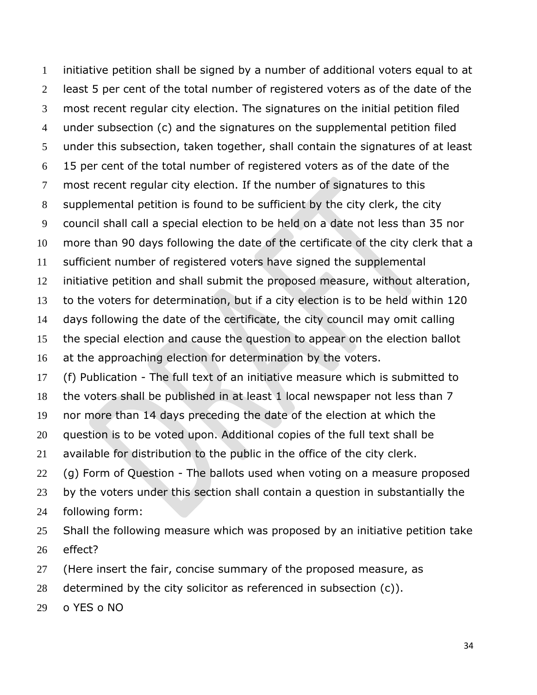initiative petition shall be signed by a number of additional voters equal to at least 5 per cent of the total number of registered voters as of the date of the most recent regular city election. The signatures on the initial petition filed under subsection (c) and the signatures on the supplemental petition filed under this subsection, taken together, shall contain the signatures of at least 15 per cent of the total number of registered voters as of the date of the most recent regular city election. If the number of signatures to this supplemental petition is found to be sufficient by the city clerk, the city council shall call a special election to be held on a date not less than 35 nor more than 90 days following the date of the certificate of the city clerk that a sufficient number of registered voters have signed the supplemental initiative petition and shall submit the proposed measure, without alteration, to the voters for determination, but if a city election is to be held within 120 days following the date of the certificate, the city council may omit calling the special election and cause the question to appear on the election ballot 16 at the approaching election for determination by the voters. (f) Publication - The full text of an initiative measure which is submitted to the voters shall be published in at least 1 local newspaper not less than 7 nor more than 14 days preceding the date of the election at which the question is to be voted upon. Additional copies of the full text shall be available for distribution to the public in the office of the city clerk. (g) Form of Question - The ballots used when voting on a measure proposed by the voters under this section shall contain a question in substantially the following form: 25 Shall the following measure which was proposed by an initiative petition take effect? 27 (Here insert the fair, concise summary of the proposed measure, as

- determined by the city solicitor as referenced in subsection (c)).
- o YES o NO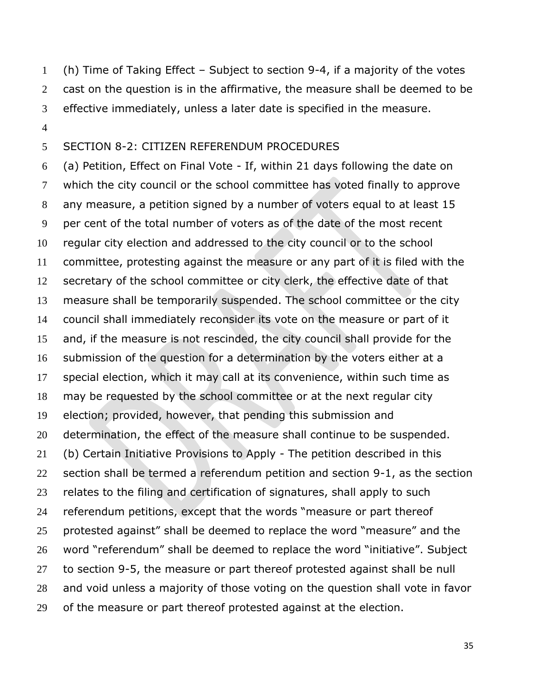(h) Time of Taking Effect – Subject to section 9-4, if a majority of the votes cast on the question is in the affirmative, the measure shall be deemed to be effective immediately, unless a later date is specified in the measure.

#### SECTION 8-2: CITIZEN REFERENDUM PROCEDURES

 (a) Petition, Effect on Final Vote - If, within 21 days following the date on which the city council or the school committee has voted finally to approve any measure, a petition signed by a number of voters equal to at least 15 per cent of the total number of voters as of the date of the most recent regular city election and addressed to the city council or to the school committee, protesting against the measure or any part of it is filed with the secretary of the school committee or city clerk, the effective date of that measure shall be temporarily suspended. The school committee or the city council shall immediately reconsider its vote on the measure or part of it and, if the measure is not rescinded, the city council shall provide for the submission of the question for a determination by the voters either at a special election, which it may call at its convenience, within such time as may be requested by the school committee or at the next regular city election; provided, however, that pending this submission and 20 determination, the effect of the measure shall continue to be suspended. (b) Certain Initiative Provisions to Apply - The petition described in this section shall be termed a referendum petition and section 9-1, as the section relates to the filing and certification of signatures, shall apply to such referendum petitions, except that the words "measure or part thereof protested against" shall be deemed to replace the word "measure" and the word "referendum" shall be deemed to replace the word "initiative". Subject to section 9-5, the measure or part thereof protested against shall be null and void unless a majority of those voting on the question shall vote in favor 29 of the measure or part thereof protested against at the election.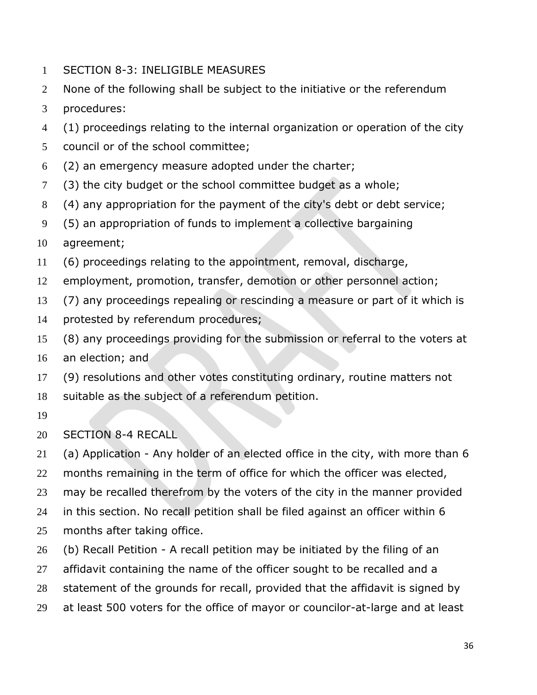- SECTION 8-3: INELIGIBLE MEASURES
- None of the following shall be subject to the initiative or the referendum
- procedures:
- (1) proceedings relating to the internal organization or operation of the city
- council or of the school committee;
- (2) an emergency measure adopted under the charter;
- (3) the city budget or the school committee budget as a whole;
- (4) any appropriation for the payment of the city's debt or debt service;
- (5) an appropriation of funds to implement a collective bargaining
- agreement;
- (6) proceedings relating to the appointment, removal, discharge,
- employment, promotion, transfer, demotion or other personnel action;
- (7) any proceedings repealing or rescinding a measure or part of it which is
- protested by referendum procedures;
- (8) any proceedings providing for the submission or referral to the voters at
- an election; and
- (9) resolutions and other votes constituting ordinary, routine matters not suitable as the subject of a referendum petition.
- 

## SECTION 8-4 RECALL

 (a) Application - Any holder of an elected office in the city, with more than 6 months remaining in the term of office for which the officer was elected, may be recalled therefrom by the voters of the city in the manner provided in this section. No recall petition shall be filed against an officer within 6 months after taking office.

- (b) Recall Petition A recall petition may be initiated by the filing of an
- 27 affidavit containing the name of the officer sought to be recalled and a
- statement of the grounds for recall, provided that the affidavit is signed by
- at least 500 voters for the office of mayor or councilor-at-large and at least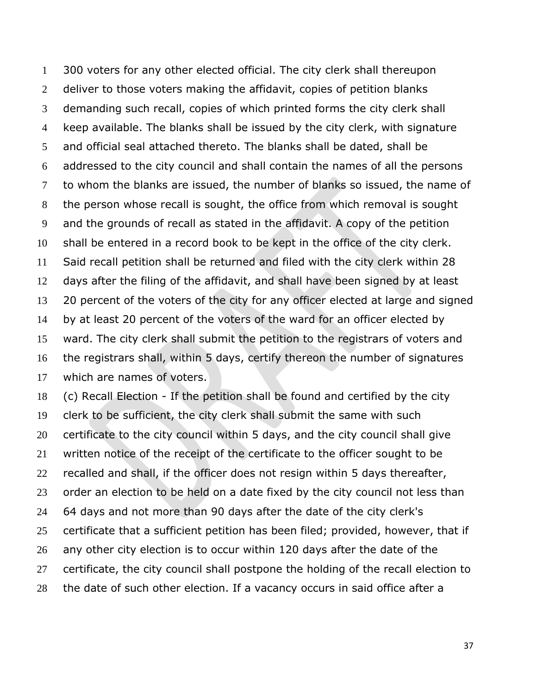300 voters for any other elected official. The city clerk shall thereupon 2 deliver to those voters making the affidavit, copies of petition blanks demanding such recall, copies of which printed forms the city clerk shall keep available. The blanks shall be issued by the city clerk, with signature and official seal attached thereto. The blanks shall be dated, shall be addressed to the city council and shall contain the names of all the persons to whom the blanks are issued, the number of blanks so issued, the name of the person whose recall is sought, the office from which removal is sought and the grounds of recall as stated in the affidavit. A copy of the petition shall be entered in a record book to be kept in the office of the city clerk. Said recall petition shall be returned and filed with the city clerk within 28 days after the filing of the affidavit, and shall have been signed by at least 20 percent of the voters of the city for any officer elected at large and signed by at least 20 percent of the voters of the ward for an officer elected by ward. The city clerk shall submit the petition to the registrars of voters and the registrars shall, within 5 days, certify thereon the number of signatures which are names of voters.

 (c) Recall Election - If the petition shall be found and certified by the city clerk to be sufficient, the city clerk shall submit the same with such certificate to the city council within 5 days, and the city council shall give written notice of the receipt of the certificate to the officer sought to be recalled and shall, if the officer does not resign within 5 days thereafter, 23 order an election to be held on a date fixed by the city council not less than 64 days and not more than 90 days after the date of the city clerk's certificate that a sufficient petition has been filed; provided, however, that if any other city election is to occur within 120 days after the date of the 27 certificate, the city council shall postpone the holding of the recall election to the date of such other election. If a vacancy occurs in said office after a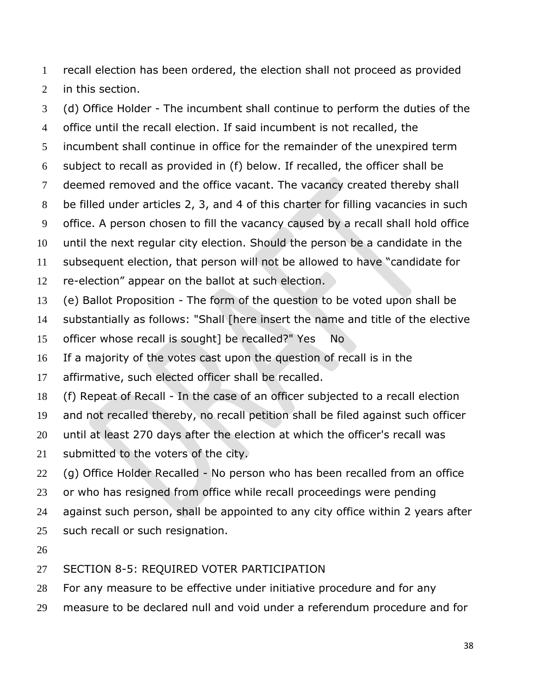recall election has been ordered, the election shall not proceed as provided

in this section.

 (d) Office Holder - The incumbent shall continue to perform the duties of the office until the recall election. If said incumbent is not recalled, the incumbent shall continue in office for the remainder of the unexpired term subject to recall as provided in (f) below. If recalled, the officer shall be deemed removed and the office vacant. The vacancy created thereby shall be filled under articles 2, 3, and 4 of this charter for filling vacancies in such office. A person chosen to fill the vacancy caused by a recall shall hold office until the next regular city election. Should the person be a candidate in the subsequent election, that person will not be allowed to have "candidate for re-election" appear on the ballot at such election. (e) Ballot Proposition - The form of the question to be voted upon shall be substantially as follows: "Shall [here insert the name and title of the elective officer whose recall is sought] be recalled?" Yes No

If a majority of the votes cast upon the question of recall is in the

affirmative, such elected officer shall be recalled.

(f) Repeat of Recall - In the case of an officer subjected to a recall election

and not recalled thereby, no recall petition shall be filed against such officer

until at least 270 days after the election at which the officer's recall was

submitted to the voters of the city.

(g) Office Holder Recalled - No person who has been recalled from an office

or who has resigned from office while recall proceedings were pending

against such person, shall be appointed to any city office within 2 years after

25 such recall or such resignation.

SECTION 8-5: REQUIRED VOTER PARTICIPATION

For any measure to be effective under initiative procedure and for any

measure to be declared null and void under a referendum procedure and for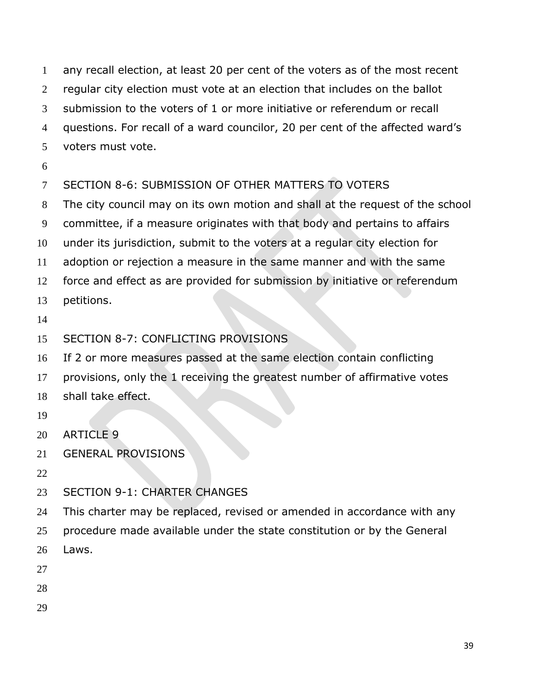any recall election, at least 20 per cent of the voters as of the most recent regular city election must vote at an election that includes on the ballot submission to the voters of 1 or more initiative or referendum or recall questions. For recall of a ward councilor, 20 per cent of the affected ward's voters must vote.

## SECTION 8-6: SUBMISSION OF OTHER MATTERS TO VOTERS

The city council may on its own motion and shall at the request of the school

committee, if a measure originates with that body and pertains to affairs

under its jurisdiction, submit to the voters at a regular city election for

adoption or rejection a measure in the same manner and with the same

force and effect as are provided for submission by initiative or referendum

petitions.

## SECTION 8-7: CONFLICTING PROVISIONS

If 2 or more measures passed at the same election contain conflicting

- provisions, only the 1 receiving the greatest number of affirmative votes
- shall take effect.
- 
- ARTICLE 9
- GENERAL PROVISIONS
- 
- SECTION 9-1: CHARTER CHANGES

24 This charter may be replaced, revised or amended in accordance with any

- procedure made available under the state constitution or by the General
- Laws.
- 
- 
-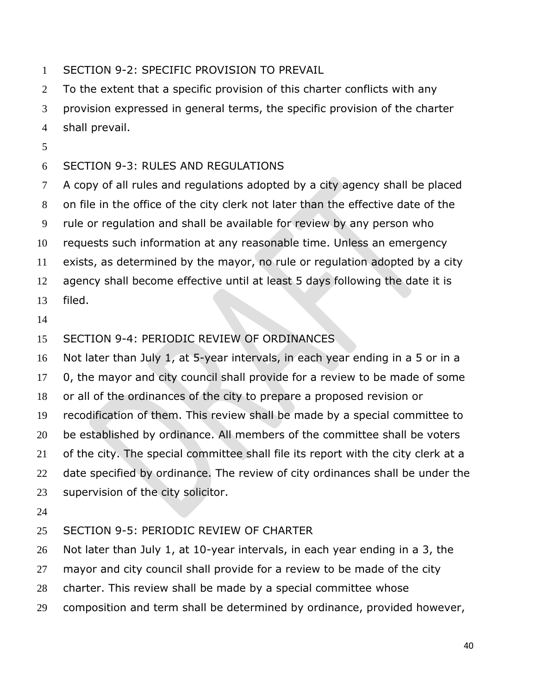SECTION 9-2: SPECIFIC PROVISION TO PREVAIL

2 To the extent that a specific provision of this charter conflicts with any provision expressed in general terms, the specific provision of the charter shall prevail.

### SECTION 9-3: RULES AND REGULATIONS

 A copy of all rules and regulations adopted by a city agency shall be placed on file in the office of the city clerk not later than the effective date of the rule or regulation and shall be available for review by any person who requests such information at any reasonable time. Unless an emergency

exists, as determined by the mayor, no rule or regulation adopted by a city

- agency shall become effective until at least 5 days following the date it is
- filed.
- 

## SECTION 9-4: PERIODIC REVIEW OF ORDINANCES

Not later than July 1, at 5-year intervals, in each year ending in a 5 or in a

0, the mayor and city council shall provide for a review to be made of some

or all of the ordinances of the city to prepare a proposed revision or

recodification of them. This review shall be made by a special committee to

be established by ordinance. All members of the committee shall be voters

of the city. The special committee shall file its report with the city clerk at a

22 date specified by ordinance. The review of city ordinances shall be under the supervision of the city solicitor.

#### SECTION 9-5: PERIODIC REVIEW OF CHARTER

Not later than July 1, at 10-year intervals, in each year ending in a 3, the

27 mayor and city council shall provide for a review to be made of the city

charter. This review shall be made by a special committee whose

composition and term shall be determined by ordinance, provided however,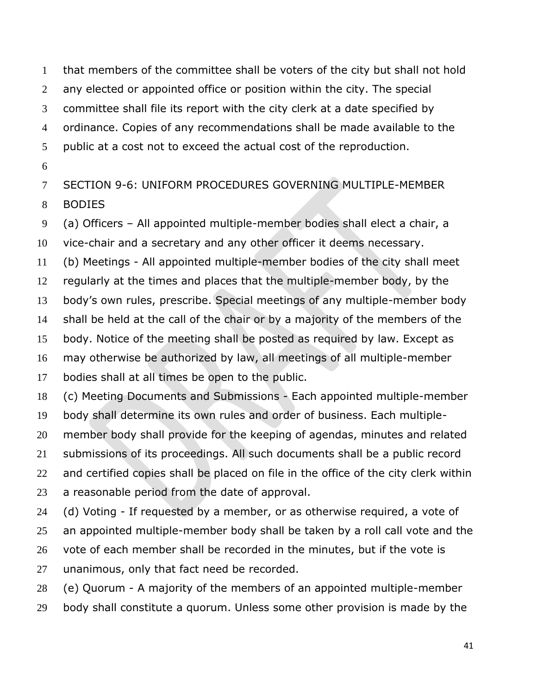that members of the committee shall be voters of the city but shall not hold 2 any elected or appointed office or position within the city. The special committee shall file its report with the city clerk at a date specified by ordinance. Copies of any recommendations shall be made available to the public at a cost not to exceed the actual cost of the reproduction.

SECTION 9-6: UNIFORM PROCEDURES GOVERNING MULTIPLE-MEMBER

BODIES

(a) Officers – All appointed multiple-member bodies shall elect a chair, a

vice-chair and a secretary and any other officer it deems necessary.

(b) Meetings - All appointed multiple-member bodies of the city shall meet

regularly at the times and places that the multiple-member body, by the

body's own rules, prescribe. Special meetings of any multiple-member body

shall be held at the call of the chair or by a majority of the members of the

body. Notice of the meeting shall be posted as required by law. Except as

may otherwise be authorized by law, all meetings of all multiple-member

bodies shall at all times be open to the public.

(c) Meeting Documents and Submissions - Each appointed multiple-member

body shall determine its own rules and order of business. Each multiple-

member body shall provide for the keeping of agendas, minutes and related

submissions of its proceedings. All such documents shall be a public record

22 and certified copies shall be placed on file in the office of the city clerk within

a reasonable period from the date of approval.

(d) Voting - If requested by a member, or as otherwise required, a vote of

25 an appointed multiple-member body shall be taken by a roll call vote and the

26 vote of each member shall be recorded in the minutes, but if the vote is

unanimous, only that fact need be recorded.

(e) Quorum - A majority of the members of an appointed multiple-member

body shall constitute a quorum. Unless some other provision is made by the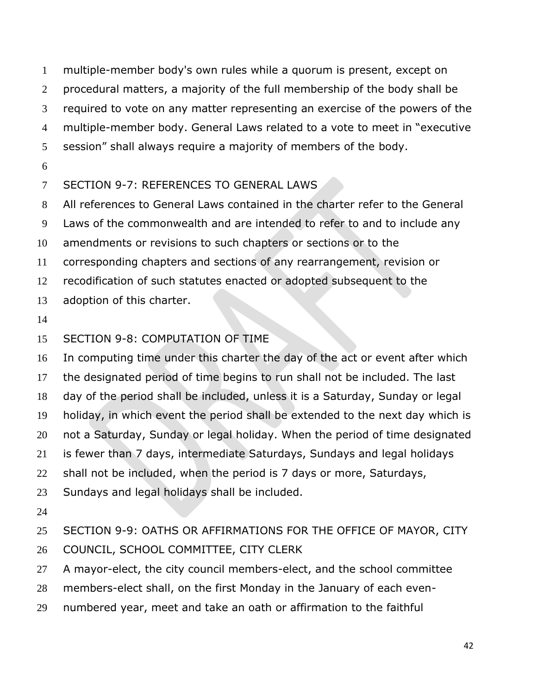multiple-member body's own rules while a quorum is present, except on procedural matters, a majority of the full membership of the body shall be required to vote on any matter representing an exercise of the powers of the multiple-member body. General Laws related to a vote to meet in "executive session" shall always require a majority of members of the body.

# SECTION 9-7: REFERENCES TO GENERAL LAWS

All references to General Laws contained in the charter refer to the General

Laws of the commonwealth and are intended to refer to and to include any

amendments or revisions to such chapters or sections or to the

corresponding chapters and sections of any rearrangement, revision or

recodification of such statutes enacted or adopted subsequent to the

adoption of this charter.

# SECTION 9-8: COMPUTATION OF TIME

In computing time under this charter the day of the act or event after which

 the designated period of time begins to run shall not be included. The last day of the period shall be included, unless it is a Saturday, Sunday or legal

holiday, in which event the period shall be extended to the next day which is

not a Saturday, Sunday or legal holiday. When the period of time designated

is fewer than 7 days, intermediate Saturdays, Sundays and legal holidays

shall not be included, when the period is 7 days or more, Saturdays,

Sundays and legal holidays shall be included.

 SECTION 9-9: OATHS OR AFFIRMATIONS FOR THE OFFICE OF MAYOR, CITY COUNCIL, SCHOOL COMMITTEE, CITY CLERK

A mayor-elect, the city council members-elect, and the school committee

members-elect shall, on the first Monday in the January of each even-

numbered year, meet and take an oath or affirmation to the faithful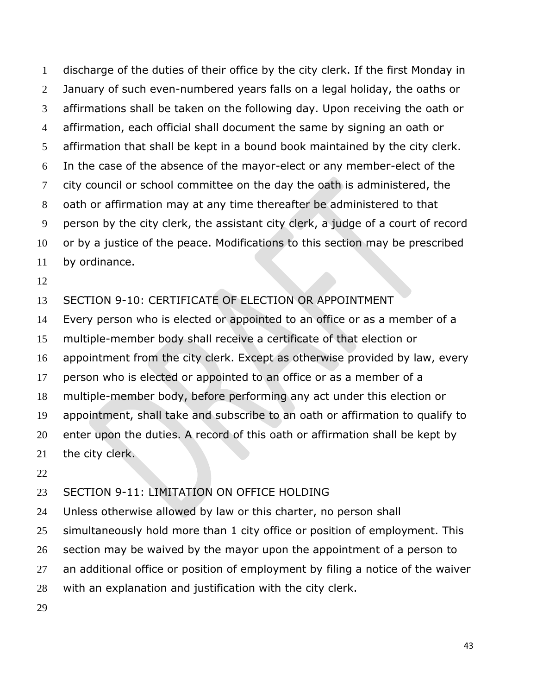discharge of the duties of their office by the city clerk. If the first Monday in January of such even-numbered years falls on a legal holiday, the oaths or affirmations shall be taken on the following day. Upon receiving the oath or affirmation, each official shall document the same by signing an oath or affirmation that shall be kept in a bound book maintained by the city clerk. In the case of the absence of the mayor-elect or any member-elect of the 7 city council or school committee on the day the oath is administered, the oath or affirmation may at any time thereafter be administered to that person by the city clerk, the assistant city clerk, a judge of a court of record or by a justice of the peace. Modifications to this section may be prescribed by ordinance.

### SECTION 9-10: CERTIFICATE OF ELECTION OR APPOINTMENT

 Every person who is elected or appointed to an office or as a member of a multiple-member body shall receive a certificate of that election or appointment from the city clerk. Except as otherwise provided by law, every person who is elected or appointed to an office or as a member of a multiple-member body, before performing any act under this election or appointment, shall take and subscribe to an oath or affirmation to qualify to enter upon the duties. A record of this oath or affirmation shall be kept by the city clerk.

#### SECTION 9-11: LIMITATION ON OFFICE HOLDING

Unless otherwise allowed by law or this charter, no person shall

simultaneously hold more than 1 city office or position of employment. This

section may be waived by the mayor upon the appointment of a person to

an additional office or position of employment by filing a notice of the waiver

with an explanation and justification with the city clerk.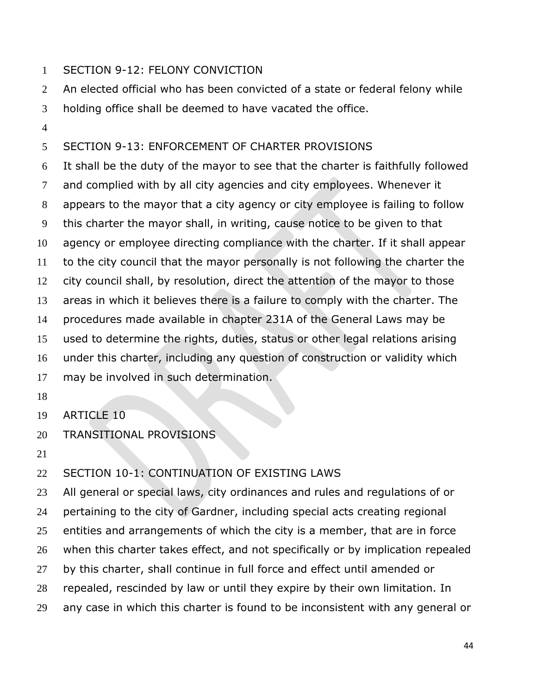### SECTION 9-12: FELONY CONVICTION

An elected official who has been convicted of a state or federal felony while

- holding office shall be deemed to have vacated the office.
- 

# SECTION 9-13: ENFORCEMENT OF CHARTER PROVISIONS

 It shall be the duty of the mayor to see that the charter is faithfully followed and complied with by all city agencies and city employees. Whenever it appears to the mayor that a city agency or city employee is failing to follow this charter the mayor shall, in writing, cause notice to be given to that agency or employee directing compliance with the charter. If it shall appear to the city council that the mayor personally is not following the charter the city council shall, by resolution, direct the attention of the mayor to those areas in which it believes there is a failure to comply with the charter. The procedures made available in chapter 231A of the General Laws may be used to determine the rights, duties, status or other legal relations arising under this charter, including any question of construction or validity which may be involved in such determination.

- 
- ARTICLE 10
- TRANSITIONAL PROVISIONS
- 

## SECTION 10-1: CONTINUATION OF EXISTING LAWS

 All general or special laws, city ordinances and rules and regulations of or pertaining to the city of Gardner, including special acts creating regional entities and arrangements of which the city is a member, that are in force when this charter takes effect, and not specifically or by implication repealed by this charter, shall continue in full force and effect until amended or repealed, rescinded by law or until they expire by their own limitation. In any case in which this charter is found to be inconsistent with any general or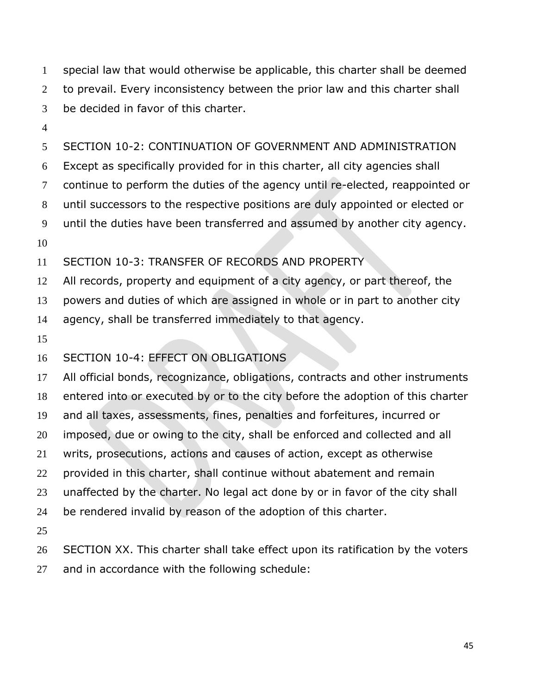special law that would otherwise be applicable, this charter shall be deemed to prevail. Every inconsistency between the prior law and this charter shall be decided in favor of this charter.

SECTION 10-2: CONTINUATION OF GOVERNMENT AND ADMINISTRATION

Except as specifically provided for in this charter, all city agencies shall

continue to perform the duties of the agency until re-elected, reappointed or

until successors to the respective positions are duly appointed or elected or

until the duties have been transferred and assumed by another city agency.

SECTION 10-3: TRANSFER OF RECORDS AND PROPERTY

All records, property and equipment of a city agency, or part thereof, the

powers and duties of which are assigned in whole or in part to another city

agency, shall be transferred immediately to that agency.

# SECTION 10-4: EFFECT ON OBLIGATIONS

 All official bonds, recognizance, obligations, contracts and other instruments entered into or executed by or to the city before the adoption of this charter and all taxes, assessments, fines, penalties and forfeitures, incurred or imposed, due or owing to the city, shall be enforced and collected and all writs, prosecutions, actions and causes of action, except as otherwise provided in this charter, shall continue without abatement and remain unaffected by the charter. No legal act done by or in favor of the city shall be rendered invalid by reason of the adoption of this charter. 

 SECTION XX. This charter shall take effect upon its ratification by the voters and in accordance with the following schedule: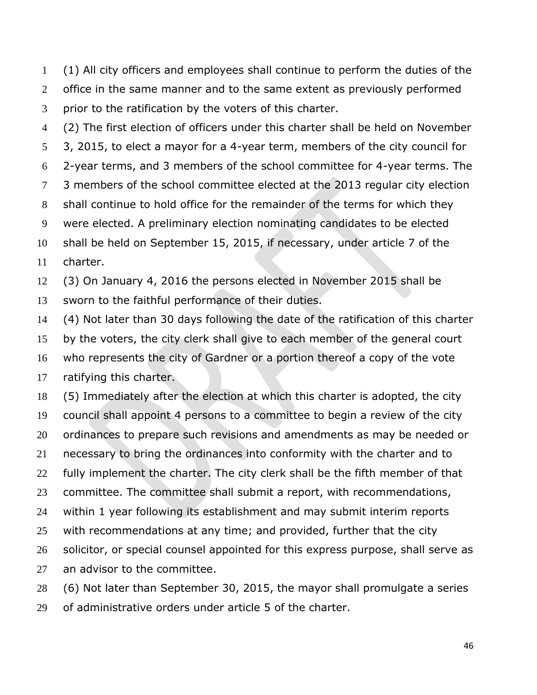(1) All city officers and employees shall continue to perform the duties of the 2 office in the same manner and to the same extent as previously performed prior to the ratification by the voters of this charter.

(2) The first election of officers under this charter shall be held on November

3, 2015, to elect a mayor for a 4-year term, members of the city council for

2-year terms, and 3 members of the school committee for 4-year terms. The

3 members of the school committee elected at the 2013 regular city election

shall continue to hold office for the remainder of the terms for which they

were elected. A preliminary election nominating candidates to be elected

 shall be held on September 15, 2015, if necessary, under article 7 of the charter.

(3) On January 4, 2016 the persons elected in November 2015 shall be

sworn to the faithful performance of their duties.

(4) Not later than 30 days following the date of the ratification of this charter

 by the voters, the city clerk shall give to each member of the general court who represents the city of Gardner or a portion thereof a copy of the vote

ratifying this charter.

 (5) Immediately after the election at which this charter is adopted, the city council shall appoint 4 persons to a committee to begin a review of the city 20 ordinances to prepare such revisions and amendments as may be needed or necessary to bring the ordinances into conformity with the charter and to 22 fully implement the charter. The city clerk shall be the fifth member of that committee. The committee shall submit a report, with recommendations, within 1 year following its establishment and may submit interim reports 25 with recommendations at any time; and provided, further that the city 26 solicitor, or special counsel appointed for this express purpose, shall serve as an advisor to the committee.

(6) Not later than September 30, 2015, the mayor shall promulgate a series

of administrative orders under article 5 of the charter.